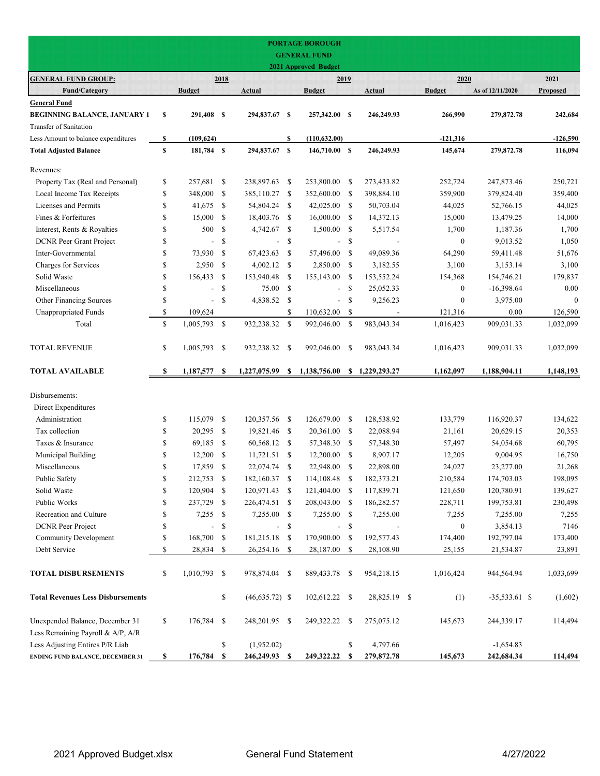|                                                                      |    |                          |               |                  |               | <b>PORTAGE BOROUGH</b>      |                            |                |                  |                  |                 |
|----------------------------------------------------------------------|----|--------------------------|---------------|------------------|---------------|-----------------------------|----------------------------|----------------|------------------|------------------|-----------------|
|                                                                      |    |                          |               |                  |               | <b>GENERAL FUND</b>         |                            |                |                  |                  |                 |
|                                                                      |    |                          |               |                  |               | <b>2021 Approved Budget</b> |                            |                |                  |                  |                 |
| <b>GENERAL FUND GROUP:</b>                                           |    |                          | 2018          |                  |               | 2019                        |                            |                | 2020             |                  | 2021            |
| <b>Fund/Category</b><br><b>General Fund</b>                          |    | <b>Budget</b>            |               | Actual           |               | <b>Budget</b>               |                            | Actual         | <b>Budget</b>    | As of 12/11/2020 | <b>Proposed</b> |
| <b>BEGINNING BALANCE, JANUARY 1</b>                                  | S  | 291,408 \$               |               | 294,837.67 \$    |               | 257,342.00 \$               |                            | 246,249.93     | 266,990          | 279,872.78       | 242,684         |
| Transfer of Sanitation                                               |    |                          |               |                  |               |                             |                            |                |                  |                  |                 |
| Less Amount to balance expenditures                                  | S  | (109, 624)               |               |                  | \$            | (110, 632.00)               |                            |                | $-121,316$       |                  | $-126,590$      |
| <b>Total Adjusted Balance</b>                                        | \$ | 181,784 \$               |               | 294,837.67 \$    |               | 146,710.00 \$               |                            | 246,249.93     | 145,674          | 279,872.78       | 116,094         |
| Revenues:                                                            |    |                          |               |                  |               |                             |                            |                |                  |                  |                 |
| Property Tax (Real and Personal)                                     | \$ | 257,681                  | - \$          | 238,897.63       | \$            | 253,800.00                  | <sup>\$</sup>              | 273,433.82     | 252,724          | 247,873.46       | 250,721         |
| Local Income Tax Receipts                                            | \$ | 348,000 \$               |               | 385,110.27       | \$            | 352,600.00                  | - \$                       | 398,884.10     | 359,900          | 379,824.40       | 359,400         |
| Licenses and Permits                                                 | \$ | 41,675                   | - \$          | 54,804.24        | -S            | 42,025.00 \$                |                            | 50,703.04      | 44,025           | 52,766.15        | 44,025          |
| Fines & Forfeitures                                                  | \$ | 15,000                   | - \$          | 18,403.76        | -S            | 16,000.00                   | - \$                       | 14,372.13      | 15,000           | 13,479.25        | 14,000          |
| Interest, Rents & Royalties                                          | \$ | 500                      | - \$          | 4,742.67         | \$            | 1,500.00                    | - \$                       | 5,517.54       | 1,700            | 1,187.36         | 1,700           |
| <b>DCNR</b> Peer Grant Project                                       | \$ | $\overline{a}$           | $\mathbb{S}$  | $\overline{a}$   | \$            | $\overline{\phantom{a}}$    | \$                         |                | $\boldsymbol{0}$ | 9,013.52         | 1,050           |
| Inter-Governmental                                                   | \$ | 73,930                   | - \$          | 67,423.63        | \$            | 57,496.00                   | -\$                        | 49,089.36      | 64,290           | 59,411.48        | 51,676          |
| Charges for Services                                                 | \$ | 2,950                    | - \$          | 4,002.12         | \$            | 2,850.00                    | - \$                       | 3,182.55       | 3,100            | 3,153.14         | 3,100           |
| Solid Waste                                                          | \$ | 156,433                  | - \$          | 153,940.48       | -S            | 155,143.00                  | - \$                       | 153,552.24     | 154,368          | 154,746.21       | 179,837         |
| Miscellaneous                                                        | \$ | $\overline{a}$           | <sup>\$</sup> | 75.00            | <sup>\$</sup> | $\overline{\phantom{a}}$    | -S                         | 25,052.33      | $\boldsymbol{0}$ | $-16,398.64$     | 0.00            |
| Other Financing Sources                                              | \$ | $\overline{\phantom{a}}$ | $\mathbb{S}$  | 4,838.52         | \$            | $\overline{\phantom{a}}$    | <sup>\$</sup>              | 9,256.23       | $\mathbf{0}$     | 3,975.00         | $\mathbf{0}$    |
| <b>Unappropriated Funds</b>                                          | \$ | 109,624                  |               |                  | \$            | 110,632.00                  | -\$                        |                | 121,316          | 0.00             | 126,590         |
| Total                                                                | \$ | 1,005,793 \$             |               | 932,238.32       | \$            | 992,046.00                  | - \$                       | 983,043.34     | 1,016,423        | 909,031.33       | 1,032,099       |
| <b>TOTAL REVENUE</b>                                                 | \$ | 1,005,793 \$             |               | 932,238.32       | -S            | 992,046.00                  | -S                         | 983,043.34     | 1,016,423        | 909,031.33       | 1,032,099       |
| <b>TOTAL AVAILABLE</b>                                               | \$ | 1,187,577                | S             | 1,227,075.99     | S             | 1,138,756.00                |                            | \$1,229,293.27 | 1,162,097        | 1,188,904.11     | 1,148,193       |
| Disbursements:                                                       |    |                          |               |                  |               |                             |                            |                |                  |                  |                 |
| Direct Expenditures                                                  |    |                          |               |                  |               |                             |                            |                |                  |                  |                 |
| Administration                                                       | \$ | 115,079 \$               |               | 120,357.56       | -S            | 126,679.00                  | - \$                       | 128,538.92     | 133,779          | 116,920.37       | 134,622         |
| Tax collection                                                       | \$ | 20,295                   | - \$          | 19,821.46        | \$            | 20,361.00                   | -\$                        | 22,088.94      | 21,161           | 20,629.15        | 20,353          |
| Taxes & Insurance                                                    | \$ | 69,185                   | - \$          | 60,568.12        | \$            | 57,348.30                   | -\$                        | 57,348.30      | 57,497           | 54,054.68        | 60,795          |
| Municipal Building                                                   | \$ | 12,200                   | -S            | 11,721.51        | -S            | 12,200.00                   | -S                         | 8,907.17       | 12,205           | 9,004.95         | 16,750          |
| Miscellaneous                                                        | \$ | 17,859 \$                |               | 22,074.74        | \$            | 22,948.00                   | - \$                       | 22,898.00      | 24,027           | 23,277.00        | 21,268          |
| Public Safety                                                        | \$ | 212,753 \$               |               | 182,160.37 \$    |               | 114,108.48                  | $\boldsymbol{\mathcal{S}}$ | 182,373.21     | 210,584          | 174,703.03       | 198,095         |
| Solid Waste                                                          | \$ | 120,904 \$               |               | 120,971.43       | - \$          | 121,404.00 \$               |                            | 117,839.71     | 121,650          | 120,780.91       | 139,627         |
| Public Works                                                         | \$ | 237,729 \$               |               | 226,474.51       | - \$          | 208,043.00 \$               |                            | 186,282.57     | 228,711          | 199,753.81       | 230,498         |
| Recreation and Culture                                               | \$ | $7,255$ \$               |               | 7,255.00 \$      |               | 7,255.00 \$                 |                            | 7,255.00       | 7,255            | 7,255.00         | 7,255           |
| DCNR Peer Project                                                    | \$ |                          | -\$           | -                | \$            | $\overline{\phantom{0}}$    | -\$                        |                | $\boldsymbol{0}$ | 3,854.13         | 7146            |
| <b>Community Development</b>                                         | \$ | 168,700 \$               |               | 181,215.18       | - \$          | 170,900.00                  | - \$                       | 192,577.43     | 174,400          | 192,797.04       | 173,400         |
| Debt Service                                                         | \$ | 28,834 \$                |               | 26,254.16 \$     |               | 28,187.00 \$                |                            | 28,108.90      | 25,155           | 21,534.87        | 23,891          |
| <b>TOTAL DISBURSEMENTS</b>                                           | \$ | 1,010,793 \$             |               | 978,874.04 \$    |               | 889,433.78 \$               |                            | 954,218.15     | 1,016,424        | 944,564.94       | 1,033,699       |
| <b>Total Revenues Less Disbursements</b>                             |    |                          | \$            | $(46,635.72)$ \$ |               | 102,612.22 \$               |                            | 28,825.19 \$   | (1)              | $-35,533.61$ \$  | (1,602)         |
| Unexpended Balance, December 31<br>Less Remaining Payroll & A/P, A/R | \$ | 176,784 \$               |               | 248,201.95 \$    |               | 249,322.22 \$               |                            | 275,075.12     | 145,673          | 244,339.17       | 114,494         |
| Less Adjusting Entires P/R Liab                                      |    |                          | \$            | (1,952.02)       |               |                             | \$                         | 4,797.66       |                  | $-1,654.83$      |                 |
| <b>ENDING FUND BALANCE, DECEMBER 31</b>                              | \$ | 176,784                  | -S            | 246,249.93 \$    |               | 249,322.22                  | S                          | 279,872.78     | 145,673          | 242,684.34       | 114,494         |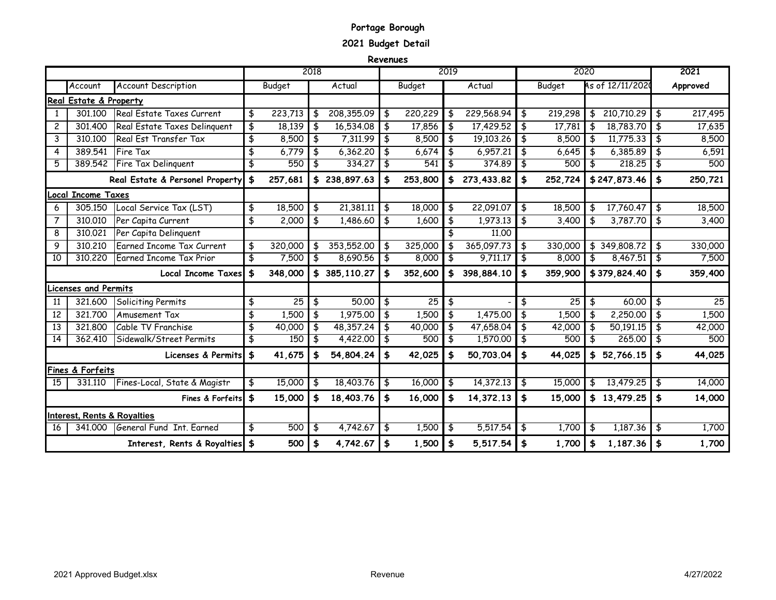# **Portage Borough**

**2021 Budget Detail** 

**Revenues**

|                |                                        |                                 |               | 2018 |              |               |         | 2019          |            |               | 2020    |     |                  | 2021          |
|----------------|----------------------------------------|---------------------------------|---------------|------|--------------|---------------|---------|---------------|------------|---------------|---------|-----|------------------|---------------|
|                | Account                                | <b>Account Description</b>      | Budget        |      | Actual       |               | Budget  |               | Actual     |               | Budget  |     | As of 12/11/2020 | Approved      |
|                | Real Estate & Property                 |                                 |               |      |              |               |         |               |            |               |         |     |                  |               |
| $\mathbf{1}$   | 301.100                                | Real Estate Taxes Current       | \$<br>223,713 | \$   | 208,355.09   | \$            | 220,229 | \$            | 229,568.94 | \$            | 219,298 | \$  | 210,710,29       | \$<br>217,495 |
| 2              | 301.400                                | Real Estate Taxes Delinguent    | \$<br>18,139  | \$   | 16,534.08    | \$            | 17,856  | $\frac{4}{5}$ | 17,429.52  | \$            | 17,781  | \$  | 18,783.70        | \$<br>17,635  |
| 3              | 310.100                                | Real Est Transfer Tax           | \$<br>8,500   | \$   | 7,311.99     | \$            | 8,500   | \$            | 19,103.26  | \$            | 8,500   | \$  | 11,775.33        | \$<br>8,500   |
| 4              | 389.541                                | <b>Fire Tax</b>                 | \$<br>6,779   | \$   | 6,362.20     | \$            | 6,674   | \$            | 6,957.21   | \$            | 6,645   | \$  | 6,385.89         | \$<br>6,591   |
| 5              | 389,542                                | Fire Tax Delinquent             | \$<br>550     | \$   | 334,27       | \$            | 541     | \$            | 374.89     | \$            | 500     | \$  | 218.25           | \$<br>500     |
|                |                                        | Real Estate & Personel Property | \$<br>257,681 |      | \$238,897.63 | \$            | 253,800 | \$            | 273,433.82 | \$            | 252,724 |     | \$247,873.46     | \$<br>250,721 |
|                | Local Income Taxes                     |                                 |               |      |              |               |         |               |            |               |         |     |                  |               |
| 6              | 305,150                                | Local Service Tax (LST)         | \$<br>18,500  | \$   | 21,381.11    | \$            | 18,000  | \$            | 22,091.07  | \$            | 18,500  | \$  | 17,760.47        | \$<br>18,500  |
| $\overline{7}$ | 310,010                                | Per Capita Current              | \$<br>2,000   | \$   | 1,486.60     | \$            | 1,600   | \$            | 1,973.13   | \$            | 3,400   | \$  | 3,787.70         | \$<br>3,400   |
| 8              | 310.021                                | Per Capita Delinguent           |               |      |              |               |         | \$            | 11,00      |               |         |     |                  |               |
| 9              | 310,210                                | Earned Income Tax Current       | \$<br>320,000 | \$   | 353,552.00   | \$            | 325,000 | \$            | 365,097.73 | \$            | 330,000 |     | \$349,808.72     | \$<br>330,000 |
| 10             | 310,220                                | <b>Earned Income Tax Prior</b>  | \$<br>7,500   | \$   | 8,690.56     | \$            | 8,000   | \$            | 9,711,17   | \$            | 8,000   | \$  | 8,467.51         | \$<br>7,500   |
|                |                                        | Local Income Taxes              | 348,000       | \$   | 385,110.27   | \$            | 352,600 | \$            | 398.884.10 | \$            | 359,900 |     | \$379,824.40     | \$<br>359,400 |
|                | icenses and Permits                    |                                 |               |      |              |               |         |               |            |               |         |     |                  |               |
| 11             | 321.600                                | Soliciting Permits              | \$<br>25      | \$   | 50.00        | \$            | 25      | \$            |            | \$            | 25      | \$  | 60.00            | \$<br>25      |
| 12             | 321.700                                | <b>Amusement Tax</b>            | \$<br>1,500   | \$   | 1,975,00     | \$            | 1,500   | \$            | 1,475,00   | \$            | 1,500   | \$  | 2,250.00         | \$<br>1,500   |
| 13             | 321,800                                | Cable TV Franchise              | \$<br>40,000  | \$   | 48,357.24    | $\frac{1}{2}$ | 40,000  | $\frac{4}{5}$ | 47,658.04  | \$            | 42,000  | _\$ | 50,191.15        | \$<br>42,000  |
| 14             | 362.410                                | Sidewalk/Street Permits         | \$<br>150     | \$   | 4,422.00     | \$            | 500     | \$            | 1,570.00   | -\$           | 500     | \$  | 265,00           | \$<br>500     |
|                |                                        | Licenses & Permits              | \$<br>41,675  | \$   | 54,804.24    | \$            | 42,025  | $\frac{1}{2}$ | 50,703.04  | \$            | 44,025  | \$  | 52,766.15        | \$<br>44,025  |
|                | Fines & Forfeits                       |                                 |               |      |              |               |         |               |            |               |         |     |                  |               |
| 15             | 331.110                                | Fines-Local, State & Magistr    | \$<br>15,000  | \$   | 18,403.76    | \$            | 16,000  | \$            | 14,372.13  | €             | 15,000  | \$  | 13,479.25        | \$<br>14,000  |
|                |                                        | Fines & Forfeits                | \$<br>15,000  | \$   | 18,403.76    | \$            | 16,000  | \$            | 14,372.13  | \$            | 15,000  |     | \$13,479.25      | \$<br>14,000  |
|                | <b>Interest, Rents &amp; Royalties</b> |                                 |               |      |              |               |         |               |            |               |         |     |                  |               |
| -16            | 341.000                                | General Fund Int. Farned        | \$<br>500     | \$   | 4,742.67     | \$            | 1,500   | \$            | 5,517,54   | \$            | 1.700   | \$  | 1,187.36         | \$<br>1,700   |
|                |                                        | Interest, Rents & Royalties \$  | 500           | \$   | 4,742.67     | \$            | 1,500   | \$            | 5,517.54   | $\frac{1}{2}$ | 1,700   | \$  | 1,187.36         | \$<br>1,700   |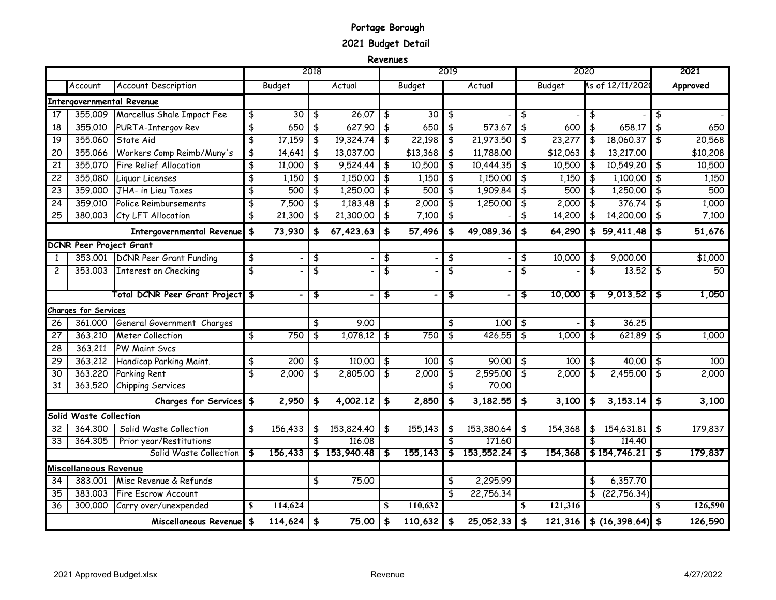# **Portage Borough**

**2021 Budget Detail** 

**Revenues**

|                 |                                |                                   |                                |               | 2018 |              |                                |                    | 2019                           |            |                         | 2020          |                        |      | 2021     |
|-----------------|--------------------------------|-----------------------------------|--------------------------------|---------------|------|--------------|--------------------------------|--------------------|--------------------------------|------------|-------------------------|---------------|------------------------|------|----------|
|                 | Account                        | <b>Account Description</b>        |                                | <b>Budget</b> |      | Actual       |                                | Budget             |                                | Actual     |                         | <b>Budget</b> | As of 12/11/2020       |      | Approved |
|                 |                                | <b>Intergovernmental Revenue</b>  |                                |               |      |              |                                |                    |                                |            |                         |               |                        |      |          |
| 17              | 355,009                        | Marcellus Shale Impact Fee        | \$                             | 30            | \$   | 26.07        | \$                             | 30                 | \$                             |            | \$                      |               | \$                     | \$   |          |
| 18              | 355.010                        | PURTA-Intergov Rev                | $\overline{\boldsymbol{\phi}}$ | 650           | \$   | 627.90       | $\overline{\boldsymbol{\phi}}$ | 650                | \$                             | 573.67     | \$                      | 600           | \$<br>658.17           | \$   | 650      |
| 19              | 355,060                        | State Aid                         | $\overline{\mathbf{t}}$        | 17,159        | \$   | 19,324.74    | \$                             | 22,198             | \$                             | 21,973.50  | \$                      | 23,277        | 18,060.37              | \$   | 20,568   |
| 20              | 355.066                        | Workers Comp Reimb/Muny's         | \$                             | 14,641        | \$   | 13,037.00    |                                | $\frac{1}{13,368}$ | \$                             | 11,788.00  |                         | \$12,063      | 13,217.00              |      | \$10,208 |
| 21              | 355.070                        | <b>Fire Relief Allocation</b>     | \$                             | 11,000        | \$   | 9,524.44     | \$                             | 10,500             | \$                             | 10,444.35  | \$                      | 10,500        | 10,549.20              | \$   | 10,500   |
| 22              | 355.080                        | Liquor Licenses                   | \$                             | 1,150         | \$   | 1,150.00     | \$                             | 1,150              | \$                             | 1,150.00   | \$                      | 1,150         | \$<br>1,100.00         | \$   | 1,150    |
| 23              | 359,000                        | JHA- in Lieu Taxes                | \$                             | 500           | \$   | 1,250.00     | \$                             | 500                | \$                             | 1,909.84   | \$                      | 500           | \$<br>1,250.00         | \$   | 500      |
| 24              | 359,010                        | Police Reimbursements             | \$                             | 7,500         | \$   | 1,183.48     | \$                             | 2,000              | \$                             | 1,250.00   | \$                      | 2,000         | \$<br>376,74           | \$   | 1,000    |
| $\overline{25}$ | 380.003                        | Cty LFT Allocation                | \$                             | 21,300        | \$   | 21,300.00    | \$                             | 7,100              | \$                             |            | \$                      | 14,200        | \$<br>14,200.00        | \$   | 7,100    |
|                 |                                | <b>Intergovernmental Revenue</b>  | $\frac{1}{2}$                  | 73,930        | \$   | 67,423.63    | \$                             | 57,496             | \$                             | 49,089.36  | \$                      | 64,290        | \$<br>59,411.48        | \$   | 51,676   |
|                 | <b>DCNR Peer Project Grant</b> |                                   |                                |               |      |              |                                |                    |                                |            |                         |               |                        |      |          |
| 1               | 353,001                        | <b>DCNR Peer Grant Funding</b>    | \$                             |               | \$   |              | \$                             |                    | \$                             |            | \$                      | 10,000        | \$<br>9,000.00         |      | \$1,000  |
| $\overline{c}$  | 353,003                        | Interest on Checking              | $\overline{\mathbf{t}}$        |               | \$   |              | $\overline{\mathbf{f}}$        |                    | $\overline{\boldsymbol{\phi}}$ |            | \$                      |               | \$<br>13.52            | \$   | 50       |
|                 |                                |                                   |                                |               |      |              |                                |                    |                                |            |                         |               |                        |      |          |
|                 |                                | Total DCNR Peer Grant Project  \$ |                                |               | \$   |              | \$                             |                    | \$                             |            | \$                      | 10,000        | $\frac{1}{2}$ 9,013.52 | 55   | 1,050    |
|                 | <b>Charges for Services</b>    |                                   |                                |               |      |              |                                |                    |                                |            |                         |               |                        |      |          |
| 26              | 361.000                        | General Government Charges        |                                |               | \$   | 9.00         |                                |                    | \$                             | 1.00       | \$                      |               | \$<br>36.25            |      |          |
| 27              | 363,210                        | <b>Meter Collection</b>           | \$                             | 750           | \$   | 1,078.12     | $\frac{1}{2}$                  | 750                | \$                             | 426.55     | \$                      | 1,000         | \$<br>621.89           | \$   | 1,000    |
| 28              | 363,211                        | <b>PW Maint Svcs</b>              |                                |               |      |              |                                |                    |                                |            |                         |               |                        |      |          |
| 29              | 363.212                        | Handicap Parking Maint.           | \$                             | 200           | \$   | 110,00       | \$                             | 100                | \$                             | 90.00      | \$                      | 100           | \$<br>40.00            | \$   | 100      |
| 30              | 363,220                        | Parking Rent                      | \$                             | 2,000         | \$   | 2,805.00     | \$                             | 2,000              | \$                             | 2,595.00   | \$                      | 2,000         | \$<br>2,455.00         | \$   | 2,000    |
| $\overline{31}$ | 363.520                        | <b>Chipping Services</b>          |                                |               |      |              |                                |                    | \$                             | 70,00      |                         |               |                        |      |          |
|                 |                                | <b>Charges for Services</b>       | $\frac{1}{2}$                  | 2,950         | \$   | 4,002.12     | \$                             | 2,850              | \$                             | 3,182.55   | \$                      | 3,100         | \$<br>3,153.14         | \$   | 3,100    |
|                 | Solid Waste Collection         |                                   |                                |               |      |              |                                |                    |                                |            |                         |               |                        |      |          |
| 32              | 364,300                        | Solid Waste Collection            | \$                             | 156,433       | \$   | 153,824.40   | \$                             | 155,143            | \$                             | 153,380.64 | \$                      | 154,368       | \$<br>154,631.81       | \$   | 179,837  |
| 33              | 364.305                        | Prior year/Restitutions           |                                |               | \$   | 116.08       |                                |                    | \$                             | 171,60     |                         |               | 114,40                 |      |          |
|                 |                                | Solid Waste Collection            | \$                             | 156,433       |      | \$153,940.48 | \$                             | 155,143            | \$                             | 153,552.24 | \$                      | 154,368       | \$154,746.21           | - \$ | 179,837  |
|                 | <b>Miscellaneous Revenue</b>   |                                   |                                |               |      |              |                                |                    |                                |            |                         |               |                        |      |          |
| 34              | 383.001                        | Misc Revenue & Refunds            |                                |               | \$   | 75.00        |                                |                    | \$                             | 2,295.99   |                         |               | \$<br>6,357.70         |      |          |
| 35              | 383.003                        | <b>Fire Escrow Account</b>        |                                |               |      |              |                                |                    | \$                             | 22,756.34  |                         |               | \$<br>(22,756.34)      |      |          |
| 36              | 300.000                        | Carry over/unexpended             | S                              | 114,624       |      |              | S                              | 110,632            |                                |            | $\overline{\mathbf{s}}$ | 121,316       |                        |      | 126,590  |
|                 |                                | Miscellaneous Revenue             | \$                             | 114,624       | \$   | 75.00        | \$                             | 110,632            | \$                             | 25,052.33  | \$                      | 121,316       | \$(16, 398.64)         | \$   | 126,590  |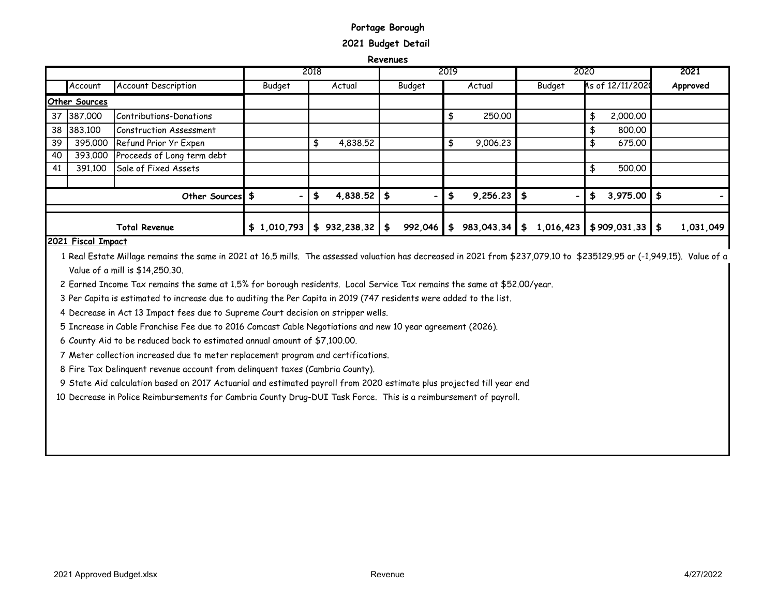## **Portage Borough 2021 Budget Detail**

**Revenues**

|    |                      |                            |             | 2018             |                                | 2019             | 2020   |                             | 2021      |
|----|----------------------|----------------------------|-------------|------------------|--------------------------------|------------------|--------|-----------------------------|-----------|
|    | Account              | <b>Account Description</b> | Budget      | Actual           | Budget                         | Actual           | Budget | As of 12/11/2020            | Approved  |
|    | <b>Other Sources</b> |                            |             |                  |                                |                  |        |                             |           |
|    | 37 387.000           | Contributions-Donations    |             |                  |                                | 250.00<br>\$     |        | 2,000.00<br>\$              |           |
|    | 38 383,100           | Construction Assessment    |             |                  |                                |                  |        | 800.00                      |           |
| 39 | 395,000              | Refund Prior Yr Expen      |             | 4,838.52         |                                | 9,006.23<br>\$   |        | 675.00                      |           |
| 40 | 393.000              | Proceeds of Long term debt |             |                  |                                |                  |        |                             |           |
| 41 | 391.100              | Sale of Fixed Assets       |             |                  |                                |                  |        | 500.00                      |           |
|    |                      |                            |             |                  |                                |                  |        |                             |           |
|    |                      | Other Sources \$           |             | 4,838.52         | \$<br>$\overline{\phantom{0}}$ | \$<br>9,256.23   | \$     | $3,975.00$ \$<br>£5         |           |
|    |                      |                            |             |                  |                                |                  |        |                             |           |
|    |                      | <b>Total Revenue</b>       | \$1,010,793 | 932,238.32<br>\$ | \$<br>992,046                  | 983,043.34<br>\$ | \$     | $1,016,423$ \$909,031.33 \$ | 1,031,049 |

#### **2021 Fiscal Impact**

1 Real Estate Millage remains the same in 2021 at 16.5 mills. The assessed valuation has decreased in 2021 from \$237,079.10 to \$235129.95 or (-1,949.15). Value of a Value of a mill is \$14,250.30.

2 Earned Income Tax remains the same at 1.5% for borough residents. Local Service Tax remains the same at \$52.00/year.

3 Per Capita is estimated to increase due to auditing the Per Capita in 2019 (747 residents were added to the list.

4 Decrease in Act 13 Impact fees due to Supreme Court decision on stripper wells.

5 Increase in Cable Franchise Fee due to 2016 Comcast Cable Negotiations and new 10 year agreement (2026).

6 County Aid to be reduced back to estimated annual amount of \$7,100.00.

7 Meter collection increased due to meter replacement program and certifications.

8 Fire Tax Delinquent revenue account from delinquent taxes (Cambria County).

9 State Aid calculation based on 2017 Actuarial and estimated payroll from 2020 estimate plus projected till year end

10 Decrease in Police Reimbursements for Cambria County Drug-DUI Task Force. This is a reimbursement of payroll.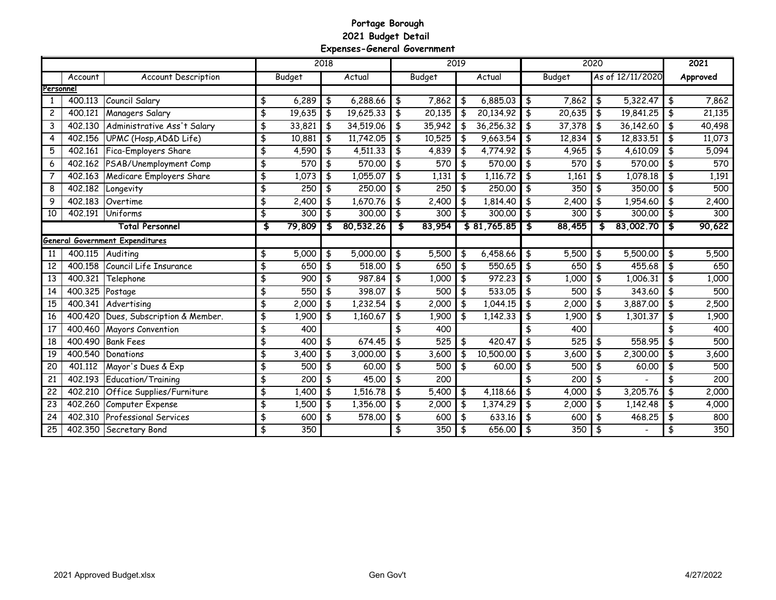#### **Portage Borough 2021 Budget Detail Expenses-General Government**

|                 |         |                                        |              | 2018 |           |               |        | 2019          |             |               |        | 2020 |                  | 2021         |
|-----------------|---------|----------------------------------------|--------------|------|-----------|---------------|--------|---------------|-------------|---------------|--------|------|------------------|--------------|
|                 | Account | <b>Account Description</b>             | Budget       |      | Actual    |               | Budget |               | Actual      |               | Budget |      | As of 12/11/2020 | Approved     |
| Personnel       |         |                                        |              |      |           |               |        |               |             |               |        |      |                  |              |
|                 | 400.113 | Council Salary                         | \$<br>6,289  | \$   | 6,288.66  | $\frac{4}{5}$ | 7,862  | \$            | 6,885.03    | \$            | 7,862  | \$   | 5,322,47         | \$<br>7,862  |
| $\overline{c}$  | 400.121 | Managers Salary                        | \$<br>19,635 | \$   | 19,625.33 | \$            | 20,135 | \$            | 20,134.92   | \$            | 20,635 | \$   | 19,841.25        | \$<br>21,135 |
| 3               | 402.130 | Administrative Ass't Salary            | \$<br>33,821 | \$   | 34,519.06 | $\frac{1}{2}$ | 35,942 | $\frac{4}{3}$ | 36,256.32   | \$            | 37,378 | \$   | 36,142.60        | \$<br>40,498 |
| 4               | 402.156 | UPMC (Hosp, AD&D Life)                 | \$<br>10,881 | \$   | 11,742.05 | $\frac{4}{3}$ | 10,525 | $\frac{1}{2}$ | 9,663.54    | $\frac{4}{5}$ | 12,834 | \$   | 12,833.51        | \$<br>11,073 |
| 5               | 402,161 | Fica-Employers Share                   | \$<br>4,590  | \$   | 4,511.33  | \$            | 4,839  | \$            | 4,774.92    | \$            | 4,965  | \$   | 4,610.09         | \$<br>5,094  |
| 6               | 402.162 | PSAB/Unemployment Comp                 | \$<br>570    | \$   | 570,00    | \$            | 570    | $\frac{1}{2}$ | 570,00      | \$            | 570    | \$   | 570,00           | \$<br>570    |
| $\overline{7}$  | 402,163 | Medicare Employers Share               | \$<br>1,073  | \$   | 1,055.07  | $\frac{4}{5}$ | 1,131  | $\frac{1}{2}$ | 1,116.72    | $\frac{4}{5}$ | 1,161  | \$   | 1,078.18         | \$<br>1,191  |
| 8               | 402,182 | Longevity                              | \$<br>250    | \$   | 250.00    | \$            | 250    | $\frac{1}{2}$ | 250,00      | \$            | 350    | \$   | 350,00           | \$<br>500    |
| 9               | 402,183 | Overtime                               | \$<br>2,400  | \$   | 1,670.76  | $\frac{1}{2}$ | 2,400  | $\frac{4}{3}$ | 1,814,40    | \$            | 2,400  | \$   | 1,954.60         | \$<br>2,400  |
| 10              | 402.191 | Uniforms                               | \$<br>300    | \$   | 300,00    | \$            | 300    | \$            | 300.00      | \$            | 300    | \$   | 300.00           | \$<br>300    |
|                 |         | <b>Total Personnel</b>                 | \$<br>79,809 | \$   | 80,532.26 | \$            | 83,954 |               | \$81,765.85 | \$            | 88,455 | \$   | 83,002.70        | \$<br>90,622 |
|                 |         | <b>General Government Expenditures</b> |              |      |           |               |        |               |             |               |        |      |                  |              |
| 11              | 400.115 | Auditing                               | \$<br>5,000  | \$   | 5,000.00  | $\frac{4}{5}$ | 5,500  | \$            | 6,458.66    | \$            | 5,500  | \$   | 5,500.00         | \$<br>5,500  |
| 12              | 400.158 | Council Life Insurance                 | \$<br>650    | \$   | 518,00    | \$            | 650    | \$            | 550.65      | \$            | 650    | \$   | 455.68           | \$<br>650    |
| 13              | 400.321 | Telephone                              | \$<br>900    | \$   | 987,84    | $\frac{1}{2}$ | 1,000  | $\frac{4}{5}$ | 972.23      | $\frac{4}{5}$ | 1,000  | \$   | 1,006.31         | \$<br>1,000  |
| 14              | 400.325 | Postage                                | \$<br>550    | \$   | 398.07    | \$            | 500    | \$            | 533.05      | \$            | 500    | \$   | 343.60           | \$<br>500    |
| 15              | 400.341 | Advertising                            | \$<br>2,000  | \$   | 1,232.54  | \$            | 2,000  | \$            | 1,044.15    | \$            | 2,000  | \$   | 3,887.00         | \$<br>2,500  |
| 16              | 400.420 | Dues, Subscription & Member.           | \$<br>1,900  | \$   | 1,160.67  | $\frac{4}{5}$ | 1,900  | \$            | 1,142.33    | $\frac{4}{5}$ | 1,900  | \$   | 1,301.37         | \$<br>1,900  |
| 17              | 400.460 | <b>Mayors Convention</b>               | \$<br>400    |      |           | \$            | 400    |               |             | \$            | 400    |      |                  | 400          |
| 18              | 400.490 | <b>Bank Fees</b>                       | \$<br>400    | \$   | 674.45    | $\frac{4}{5}$ | 525    | \$            | 420.47      | $\frac{4}{3}$ | 525    | \$   | 558.95           | \$<br>500    |
| 19              | 400.540 | Donations                              | \$<br>3,400  | \$   | 3,000.00  | $\frac{1}{2}$ | 3,600  | $\frac{4}{3}$ | 10,500.00   | $\frac{4}{5}$ | 3,600  | \$   | 2,300.00         | \$<br>3,600  |
| 20              | 401.112 | Mayor's Dues & Exp                     | \$<br>500    | \$   | 60.00     | $\frac{1}{2}$ | 500    | \$            | 60.00       | $\frac{4}{3}$ | 500    | \$   | 60.00            | \$<br>500    |
| 21              | 402.193 | Education/Training                     | \$<br>200    | \$   | 45.00     | $\frac{1}{2}$ | 200    |               |             | \$            | 200    | \$   |                  | \$<br>200    |
| 22              | 402.210 | Office Supplies/Furniture              | \$<br>1,400  | \$   | 1,516.78  | $\frac{1}{2}$ | 5,400  | \$            | 4,118.66    | \$            | 4,000  | \$   | 3,205.76         | \$<br>2,000  |
| 23              | 402.260 | Computer Expense                       | \$<br>1,500  | \$   | 1,356.00  | \$            | 2,000  | \$            | 1,374.29    | \$            | 2,000  | \$   | 1,142.48         | \$<br>4,000  |
| $\overline{24}$ | 402.310 | <b>Professional Services</b>           | \$<br>600    | \$   | 578.00    | $\frac{4}{5}$ | 600    | $\frac{4}{5}$ | 633.16      | \$            | 600    | \$   | 468.25           | 800          |
| 25              | 402.350 | Secretary Bond                         | \$<br>350    |      |           | \$            | 350    | $\frac{4}{5}$ | 656.00      | $\frac{4}{3}$ | 350    | \$   |                  | \$<br>350    |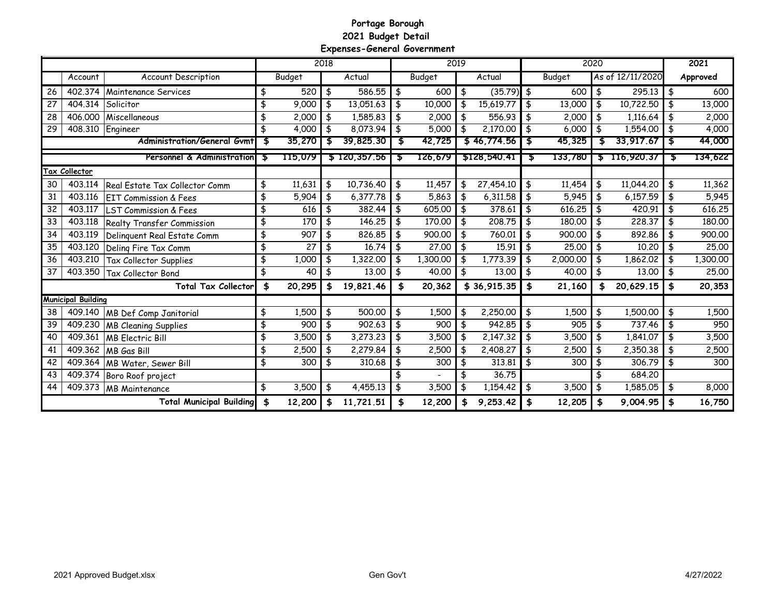#### **Portage Borough 2021 Budget Detail Expenses-General Government**

|    |                           |                                    |    |         | 2018 |              |                           |          | 2019          |              |               |               | 2020 |                  |    | 2021     |
|----|---------------------------|------------------------------------|----|---------|------|--------------|---------------------------|----------|---------------|--------------|---------------|---------------|------|------------------|----|----------|
|    | Account                   | <b>Account Description</b>         |    | Budget  |      | Actual       |                           | Budget   |               | Actual       |               | <b>Budget</b> |      | As of 12/11/2020 |    | Approved |
| 26 | 402,374                   | Maintenance Services               | \$ | 520     | \$   | 586.55       | $\vert \frac{4}{5} \vert$ | 600      | $\frac{1}{2}$ | $(35.79)$ \$ |               | 600           | \$   | 295.13           | \$ | 600      |
| 27 | 404.314                   | Solicitor                          | \$ | 9,000   | \$   | 13,051.63    | \$                        | 10,000   | \$            | 15,619.77    | \$            | 13,000        | \$   | 10,722.50        | \$ | 13,000   |
| 28 | 406,000                   | Miscellaneous                      | \$ | 2,000   | \$   | 1,585.83     | \$                        | 2,000    | $\frac{4}{3}$ | 556.93       | -\$           | 2,000         | \$   | 1,116.64         |    | 2,000    |
| 29 | 408.310                   | Engineer                           | \$ | 4,000   | \$   | 8,073.94     | \$                        | 5,000    | \$            | 2,170.00     | \$            | 6,000         | \$   | 1,554.00         |    | 4,000    |
|    |                           | <b>Administration/General Gymt</b> | \$ | 35,270  | S    | 39,825.30    |                           | 42,725   |               | \$46,774.56  |               | 45,325        | S    | 33,917.67        | S  | 44,000   |
|    |                           | Personnel & Administration         | 5  | 115,079 |      | \$120,357.56 | ъ                         | 126,679  |               | \$128,540.41 | ъ             | 133,780       |      | $5$ 116,920.37   | \$ | 134,622  |
|    | Tax Collector             |                                    |    |         |      |              |                           |          |               |              |               |               |      |                  |    |          |
| 30 | 403.114                   | Real Estate Tax Collector Comm     | \$ | 11,631  | \$   | 10,736.40    | \$                        | 11,457   | \$            | 27,454.10    | \$            | 11,454        | \$   | 11,044.20        | \$ | 11,362   |
| 31 | 403.116                   | <b>IEIT Commission &amp; Fees</b>  | \$ | 5,904   | \$   | 6,377.78     | \$                        | 5,863    | $\sqrt{2}$    | 6,311.58     | \$            | 5,945         | \$   | 6,157.59         | \$ | 5,945    |
| 32 | 403,117                   | <b>LST Commission &amp; Fees</b>   | \$ | 616     | \$   | 382,44       | \$                        | 605.00   | -\$           | 378,61       | \$            | 616.25        | \$   | 420.91           | \$ | 616.25   |
| 33 | 403.118                   | Realty Transfer Commission         | \$ | 170     | \$   | 146.25       | \$                        | 170,00   | $\frac{4}{3}$ | 208.75       | \$            | 180.00        |      | 228.37           | \$ | 180.00   |
| 34 | 403.119                   | Delinguent Real Estate Comm        | \$ | 907     | \$   | 826.85       | $\frac{4}{5}$             | 900.00   | $\frac{4}{5}$ | 760.01       | $\frac{1}{2}$ | 900.00        | \$   | 892.86           |    | 900.00   |
| 35 | 403.120                   | Deling Fire Tax Comm               | \$ | 27      | \$   | 16.74        | $\frac{4}{5}$             | 27.00    | $\frac{4}{5}$ | 15.91        | $\frac{1}{2}$ | 25.00         | \$   | 10.20            | \$ | 25.00    |
| 36 | 403.210                   | Tax Collector Supplies             | \$ | 1,000   | \$   | 1,322.00     | \$                        | 1,300.00 | -\$           | 1,773.39     | \$            | 2,000.00      | \$   | 1,862.02         | \$ | 1,300.00 |
| 37 | 403.350                   | <b>Tax Collector Bond</b>          | \$ | 40      | \$   | 13.00        | $\frac{4}{5}$             | 40.00    | $\frac{4}{3}$ | 13.00        | \$            | 40.00         | \$   | 13.00            | \$ | 25.00    |
|    |                           | <b>Total Tax Collector</b>         | \$ | 20,295  | \$   | 19,821.46    | \$                        | 20,362   |               | \$36,915.35  | \$            | 21,160        | \$   | 20,629.15        | \$ | 20,353   |
|    | <b>Municipal Building</b> |                                    |    |         |      |              |                           |          |               |              |               |               |      |                  |    |          |
| 38 | 409.140                   | <b>MB Def Comp Janitorial</b>      | \$ | 1,500   | \$   | 500.00       | \$                        | 1,500    | $\frac{1}{2}$ | 2,250.00     | \$            | 1,500         | \$   | 1,500.00         | \$ | 1,500    |
| 39 | 409.230                   | <b>MB Cleaning Supplies</b>        | \$ | 900     | \$   | 902.63       | \$                        | 900      | \$            | 942,85       | \$            | 905           | \$   | 737.46           |    | 950      |
| 40 | 409.361                   | <b>MB</b> Electric Bill            | \$ | 3,500   | \$   | 3,273.23     | $\frac{4}{3}$             | 3,500    | \$            | 2,147.32     | \$            | 3,500         | \$   | 1,841.07         | \$ | 3,500    |
| 41 | 409.362                   | MB Gas Bill                        | \$ | 2,500   | \$   | 2,279.84     | $\frac{4}{3}$             | 2,500    | $\frac{1}{2}$ | 2,408.27     | $\frac{1}{2}$ | 2,500         | \$   | 2,350.38         | \$ | 2,500    |
| 42 | 409.364                   | MB Water, Sewer Bill               | \$ | 300     | \$   | 310.68       | $\frac{4}{3}$             | 300      | $\frac{1}{2}$ | 313.81       | \$            | 300           | \$   | 306.79           | \$ | 300      |
| 43 | 409.374                   | Boro Roof project                  |    |         |      |              |                           |          | \$            | 36.75        |               |               |      | 684.20           |    |          |
| 44 | 409.373                   | <b>MB</b> Maintenance              | \$ | 3,500   | \$   | 4,455.13     | $\frac{4}{3}$             | 3,500    | \$            | 1,154.42     | \$            | 3,500         | \$   | 1,585.05         | \$ | 8,000    |
|    |                           | <b>Total Municipal Building</b>    | \$ | 12,200  | \$   | 11,721.51    | \$                        | 12,200   |               | 9,253.42     | \$            | 12,205        | \$   | 9,004.95         | \$ | 16,750   |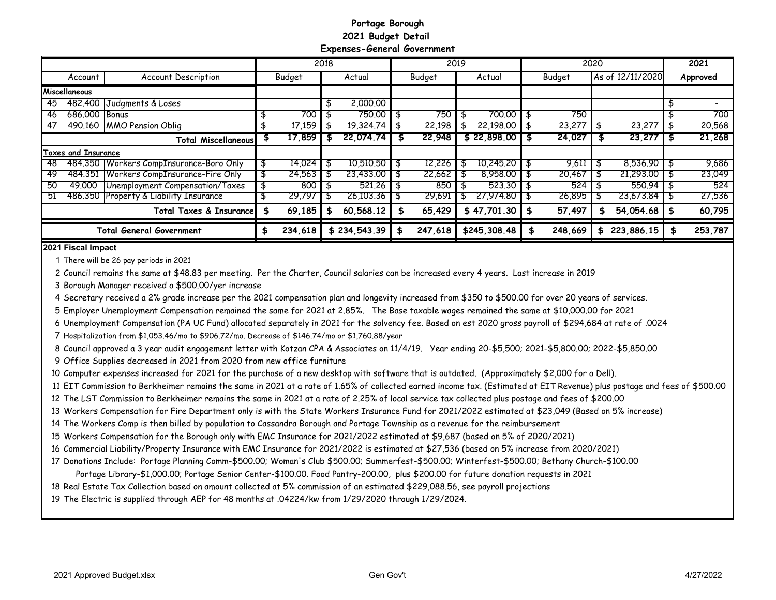#### **Portage Borough 2021 Budget Detail Expenses-General Government**

|    |                     |                                         |    |         | 2018 |              |         | 2019 |              |         | 2020 |                  | 2021     |
|----|---------------------|-----------------------------------------|----|---------|------|--------------|---------|------|--------------|---------|------|------------------|----------|
|    | Account             | <b>Account Description</b>              |    | Budget  |      | Actual       | Budget  |      | Actual       | Budget  |      | As of 12/11/2020 | Approved |
|    | Miscellaneous       |                                         |    |         |      |              |         |      |              |         |      |                  |          |
| 45 | 482,400             | Judgments & Loses                       |    |         |      | 2,000.00     |         |      |              |         |      |                  |          |
| 46 | 686,000 Bonus       |                                         |    | 700     |      | 750.00       | 750     |      | 700.00       | 750     |      |                  | 700      |
| 47 | 490.160             | <b>MMO Pension Oblig</b>                |    | 17.159  |      | 19.324.74    | 22,198  |      | 22.198.00    | 23,277  |      | 23,277           | 20,568   |
|    |                     | <b>Total Miscellaneous</b>              |    | 17,859  | ъ    | 22.074.74    | 22,948  |      | \$22,898,00  | 24,027  |      | 23,277           | 21,268   |
|    | Taxes and Insurance |                                         |    |         |      |              |         |      |              |         |      |                  |          |
| 48 |                     | 484.350 Workers CompInsurance-Boro Only | \$ | 14,024  |      | 10,510.50    | 12,226  |      | 10,245.20    | 9,611   |      | 8.536.90         | 9,686    |
| 49 | 484.351             | Workers CompInsurance-Fire Only         |    | 24,563  | Эħ.  | 23,433,00    | 22.662  |      | 8,958.00     | 20,467  |      | 21.293.00        | 23,049   |
| 50 | 49,000              | Unemployment Compensation/Taxes         |    | 800     |      | 521.26       | 850     |      | 523.30       | 524     |      | 550.94           | 524      |
| 51 |                     | 486,350 Property & Liability Insurance  |    | 29,797  |      | 26,103,36    | 29,691  |      | 27,974,80    | 26,895  |      | 23,673,84        | 27,536   |
|    |                     | Total Taxes & Insurance                 |    | 69,185  |      | 60,568.12    | 65,429  |      | \$47,701.30  | 57,497  |      | 54,054.68        | 60,795   |
|    |                     | <b>Total General Government</b>         | S  | 234,618 |      | \$234,543.39 | 247,618 |      | \$245,308.48 | 248,669 | S    | 223,886.15       | 253,787  |

**2021 Fiscal Impact**

There will be 26 pay periods in 2021

Council remains the same at \$48.83 per meeting. Per the Charter, Council salaries can be increased every 4 years. Last increase in 2019

Borough Manager received a \$500.00/yer increase

Secretary received a 2% grade increase per the 2021 compensation plan and longevity increased from \$350 to \$500.00 for over 20 years of services.

Employer Unemployment Compensation remained the same for 2021 at 2.85%. The Base taxable wages remained the same at \$10,000.00 for 2021

Unemployment Compensation (PA UC Fund) allocated separately in 2021 for the solvency fee. Based on est 2020 gross payroll of \$294,684 at rate of .0024

Hospitalization from \$1,053.46/mo to \$906.72/mo. Decrease of \$146.74/mo or \$1,760.88/year

Council approved a 3 year audit engagement letter with Kotzan CPA & Associates on 11/4/19. Year ending 20-\$5,500; 2021-\$5,800.00; 2022-\$5,850.00

Office Supplies decreased in 2021 from 2020 from new office furniture

Computer expenses increased for 2021 for the purchase of a new desktop with software that is outdated. (Approximately \$2,000 for a Dell).

EIT Commission to Berkheimer remains the same in 2021 at a rate of 1.65% of collected earned income tax. (Estimated at EIT Revenue) plus postage and fees of \$500.00

The LST Commission to Berkheimer remains the same in 2021 at a rate of 2.25% of local service tax collected plus postage and fees of \$200.00

Workers Compensation for Fire Department only is with the State Workers Insurance Fund for 2021/2022 estimated at \$23,049 (Based on 5% increase)

The Workers Comp is then billed by population to Cassandra Borough and Portage Township as a revenue for the reimbursement

Workers Compensation for the Borough only with EMC Insurance for 2021/2022 estimated at \$9,687 (based on 5% of 2020/2021)

Commercial Liability/Property Insurance with EMC Insurance for 2021/2022 is estimated at \$27,536 (based on 5% increase from 2020/2021)

Donations Include: Portage Planning Comm-\$500.00; Woman's Club \$500.00; Summerfest-\$500.00; Winterfest-\$500.00; Bethany Church-\$100.00

Portage Library-\$1,000.00; Portage Senior Center-\$100.00. Food Pantry-200.00, plus \$200.00 for future donation requests in 2021

Real Estate Tax Collection based on amount collected at 5% commission of an estimated \$229,088.56, see payroll projections

The Electric is supplied through AEP for 48 months at .04224/kw from 1/29/2020 through 1/29/2024.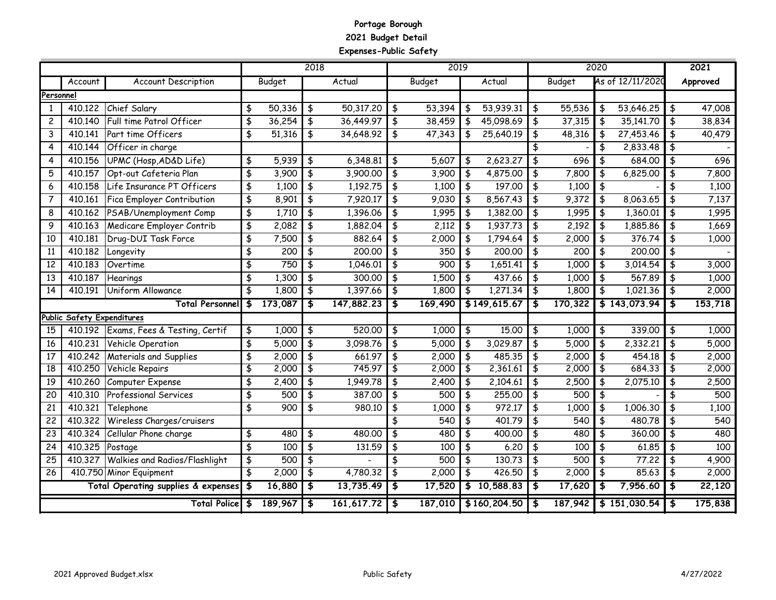#### **Portage Borough 2021 Budget Detail Expenses-Public Safety**

|                 |                            |                                       |                      |                  | 2018 |            |                                      | 2019             |                 |               | 2020                    |                  |               | 2021     |
|-----------------|----------------------------|---------------------------------------|----------------------|------------------|------|------------|--------------------------------------|------------------|-----------------|---------------|-------------------------|------------------|---------------|----------|
|                 | Account                    | <b>Account Description</b>            |                      | Budget           |      | Actual     |                                      | Budget           | Actual          | Budget        |                         | As of 12/11/2020 |               | Approved |
| Personnel       |                            |                                       |                      |                  |      |            |                                      |                  |                 |               |                         |                  |               |          |
| 1               | 410.122                    | Chief Salary                          | \$                   | 50,336           | \$   | 50,317.20  | \$                                   | 53,394           | \$<br>53,939.31 | \$<br>55,536  | \$                      | 53,646.25        | \$            | 47,008   |
| $\mathbf{2}$    | 410.140                    | Full time Patrol Officer              | \$                   | 36,254           | \$   | 36,449.97  | \$                                   | 38,459           | 45,098.69       | \$<br>37,315  | \$                      | 35,141.70        | \$            | 38,834   |
| 3               | 410.141                    | Part time Officers                    | \$                   | 51,316           | \$   | 34,648.92  | \$                                   | 47,343           | \$<br>25,640.19 | \$<br>48,316  | \$                      | 27,453.46        | \$            | 40,479   |
| 4               | 410.144                    | Officer in charge                     |                      |                  |      |            |                                      |                  |                 | \$            | \$                      | 2,833.48         | $\frac{4}{5}$ |          |
| 4               | 410.156                    | UPMC (Hosp, AD&D Life)                | \$                   | 5,939            | \$   | 6,348.81   | \$                                   | 5,607            | \$<br>2,623.27  | \$<br>696     | \$                      | 684.00           | \$            | 696      |
| 5               | 410.157                    | Opt-out Cafeteria Plan                | \$                   | 3,900            | \$   | 3,900.00   | \$                                   | 3,900            | \$<br>4,875.00  | \$<br>7,800   | \$                      | 6,825.00         | \$            | 7,800    |
| 6               | 410.158                    | Life Insurance PT Officers            | \$                   | 1,100            | \$   | 1,192.75   | \$                                   | 1,100            | \$<br>197,00    | \$<br>1,100   | \$                      |                  | \$            | 1,100    |
| $\overline{7}$  | 410.161                    | Fica Employer Contribution            | $\overline{\ast}$    | 8,901            | \$   | 7,920.17   | \$                                   | 9,030            | \$<br>8,567.43  | \$<br>9,372   | $\frac{4}{5}$           | 8,063.65         | \$            | 7,137    |
| 8               | 410.162                    | PSAB/Unemployment Comp                | \$                   | 1,710            | \$   | 1,396.06   | \$                                   | 1,995            | \$<br>1,382.00  | \$<br>1,995   | \$                      | 1,360.01         | \$            | 1,995    |
| 9               | 410.163                    | Medicare Employer Contrib             | \$                   | 2,082            | \$   | 1,882,04   | \$                                   | 2,112            | \$<br>1,937.73  | \$<br>2,192   | \$                      | 1,885,86         | \$            | 1,669    |
| 10              | 410.181                    | Drug-DUI Task Force                   | \$                   | 7,500            | \$   | 882.64     | \$                                   | 2,000            | \$<br>1,794.64  | \$<br>2,000   | \$                      | 376,74           | \$            | 1,000    |
| 11              | 410.182                    | Longevity                             | \$                   | 200              | \$   | 200,00     | \$                                   | 350              | \$<br>200,00    | \$<br>200     | \$                      | 200.00           | $\frac{4}{5}$ |          |
| 12              | 410.183                    | Overtime                              | \$                   | 750              | \$   | 1,046.01   | \$                                   | 900              | \$<br>1,651.41  | \$<br>1,000   | \$                      | 3,014.54         | \$            | 3,000    |
| 13              | 410.187                    | Hearings                              | \$                   | 1,300            | \$   | 300.00     | \$                                   | 1,500            | \$<br>437.66    | \$<br>1,000   | \$                      | 567.89           | \$            | 1,000    |
| $\overline{14}$ | 410.191                    | Uniform Allowance                     | \$                   | 1,800            | \$   | 1,397.66   | $\overline{\boldsymbol{\mathsf{t}}}$ | 1,800            | \$<br>1,271.34  | \$<br>1,800   | $\overline{\mathbf{f}}$ | 1,021.36         | \$            | 2,000    |
|                 |                            | <b>Total Personnel</b>                | \$                   | 173,087          | \$   | 147,882.23 | \$                                   | 169,490          | \$149,615.67    | \$<br>170,322 |                         | \$143,073.94     | \$            | 153,718  |
|                 | Public Safety Expenditures |                                       |                      |                  |      |            |                                      |                  |                 |               |                         |                  |               |          |
| 15              |                            | 410.192 Exams, Fees & Testing, Certif | \$                   | 1,000            | \$   | 520.00     | \$                                   | 1,000            | \$<br>15.00     | \$<br>1,000   | \$                      | 339.00           | \$            | 1,000    |
| 16              | 410.231                    | Vehicle Operation                     | \$                   | 5,000            | \$   | 3,098.76   | \$                                   | 5,000            | \$<br>3,029.87  | \$<br>5,000   | \$                      | 2,332.21         | \$            | 5,000    |
| 17              | 410.242                    | Materials and Supplies                | \$                   | 2,000            | \$   | 661.97     | \$                                   | 2,000            | \$<br>485,35    | \$<br>2,000   | \$                      | 454,18           | \$            | 2,000    |
| $\overline{18}$ | 410.250                    | Vehicle Repairs                       | \$                   | 2,000            | \$   | 745.97     | \$                                   | 2,000            | \$<br>2,361.61  | \$<br>2,000   | \$                      | 684.33           | \$            | 2,000    |
| 19              | 410.260                    | Computer Expense                      | \$                   | 2,400            | \$   | 1,949.78   | \$                                   | 2,400            | \$<br>2,104.61  | \$<br>2,500   | \$                      | 2,075.10         | \$            | 2,500    |
| 20              | 410.310                    | <b>Professional Services</b>          | \$                   | 500              | \$   | 387.00     | \$                                   | $\overline{500}$ | \$<br>255,00    | \$<br>500     | $\overline{\mathbf{f}}$ |                  | \$            | 500      |
| 21              | 410.321                    | Telephone                             | \$                   | $\overline{900}$ | \$   | 980.10     | \$                                   | 1,000            | \$<br>972.17    | \$<br>1,000   | \$                      | 1,006.30         | \$            | 1,100    |
| 22              | 410.322                    | Wireless Charges/cruisers             |                      |                  |      |            | \$                                   | 540              | \$<br>401.79    | \$<br>540     | \$                      | 480.78           | \$            | 540      |
| $\overline{23}$ | 410.324                    | Cellular Phone charge                 | \$                   | 480              | \$   | 480,00     | \$                                   | 480              | \$<br>400,00    | \$<br>480     | \$                      | 360,00           | \$            | 480      |
| 24              | 410.325                    | Postage                               | \$                   | 100              | \$   | 131.59     | $\frac{1}{2}$                        | 100              | \$<br>6.20      | \$<br>100     | \$                      | 61.85            | \$            | 100      |
| 25              | 410,327                    | <b>Walkies and Radios/Flashlight</b>  | \$                   | 500              | \$   |            | \$                                   | 500              | \$<br>130.73    | \$<br>500     | \$                      | 77.22            | \$            | 4,900    |
| 26              |                            | 410.750 Minor Equipment               | \$                   | 2,000            | \$   | 4,780.32   | \$                                   | 2,000            | \$<br>426.50    | \$<br>2,000   | \$                      | 85.63            | \$            | 2,000    |
|                 |                            | Total Operating supplies & expenses   | $\bullet$            | 16,880           | \$   | 13,735.49  | \$                                   | 17,520           | \$10,588.83     | \$<br>17,620  | \$                      | 7,956.60         | \$            | 22,120   |
|                 |                            | <b>Total Police</b>                   | $\overline{\bullet}$ | 189,967          | \$   | 161,617.72 | \$                                   | 187,010          | \$160,204.50    | \$<br>187,942 |                         | \$151,030.54     | \$            | 175,838  |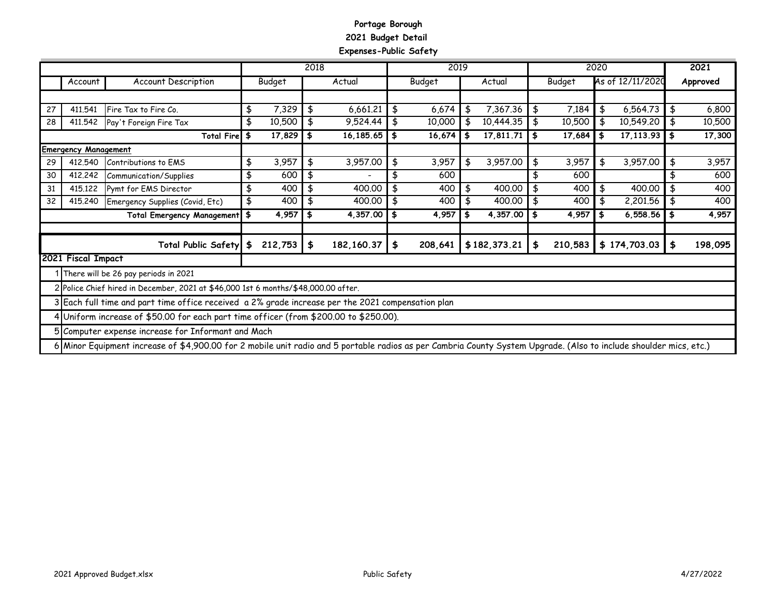#### **Portage Borough 2021 Budget Detail Expenses-Public Safety**

|    |                             |                                                                                                   |               | 2018 |              | 2019              |     |              |               | 2020 |                  | 2021          |
|----|-----------------------------|---------------------------------------------------------------------------------------------------|---------------|------|--------------|-------------------|-----|--------------|---------------|------|------------------|---------------|
|    | Account                     | <b>Account Description</b>                                                                        | <b>Budget</b> |      | Actual       | Budget            |     | Actual       | Budget        |      | As of 12/11/2020 | Approved      |
|    |                             |                                                                                                   |               |      |              |                   |     |              |               |      |                  |               |
| 27 | 411,541                     | Fire Tax to Fire Co.                                                                              | \$<br>7,329   | \$   | 6,661.21     | \$<br>6,674       | \$  | 7,367.36     | \$<br>7,184   | \$   | 6,564.73         | \$<br>6,800   |
| 28 | 411,542                     | Pay't Foreign Fire Tax                                                                            | \$<br>10,500  | \$   | 9,524.44     | \$<br>10,000      |     | 10,444.35    | \$<br>10,500  | \$   | 10,549.20        | \$<br>10,500  |
|    |                             | Total Fire \$                                                                                     | 17,829        | \$   | 16,185.65    | \$<br>$16,674$ \$ |     | 17,811.71    | \$<br>17,684  | \$   | 17, 113.93       | \$<br>17,300  |
|    | <b>Emergency Management</b> |                                                                                                   |               |      |              |                   |     |              |               |      |                  |               |
| 29 | 412.540                     | Contributions to EMS                                                                              | \$<br>3,957   | \$   | 3,957.00     | \$<br>3,957       | \$  | 3,957.00     | \$<br>3,957   | \$   | 3,957.00         | \$<br>3,957   |
| 30 | 412,242                     | Communication/Supplies                                                                            | \$<br>600     | \$   |              | 600               |     |              | 600           |      |                  | 600           |
| 31 | 415,122                     | Pymt for EMS Director                                                                             | \$<br>400     | \$   | 400.00       | 400               | \$  | 400.00       | \$<br>400     | \$   | 400.00           | \$<br>400     |
| 32 | 415,240                     | Emergency Supplies (Covid, Etc)                                                                   | \$<br>400     | \$   | 400.00       | \$<br>400         | \$  | 400.00       | \$<br>400     | \$   | 2,201.56         | \$<br>400     |
|    |                             | Total Emergency Management \$                                                                     | 4,957         | \$   | 4,357.00     | \$<br>4,957       | ∣\$ | 4,357.00     | \$<br>4,957   | \$   | 6,558.56         | \$<br>4,957   |
|    |                             |                                                                                                   |               |      |              |                   |     |              |               |      |                  |               |
|    |                             | Total Public Safety \$                                                                            | 212,753       | \$   | 182, 160. 37 | \$<br>208,641     |     | \$182,373.21 | \$<br>210,583 |      | \$174,703.03     | \$<br>198,095 |
|    | 2021 Fiscal Impact          |                                                                                                   |               |      |              |                   |     |              |               |      |                  |               |
|    |                             | There will be 26 pay periods in 2021                                                              |               |      |              |                   |     |              |               |      |                  |               |
|    |                             | 2 Police Chief hired in December, 2021 at \$46,000 1st 6 months/\$48,000.00 after.                |               |      |              |                   |     |              |               |      |                  |               |
|    |                             | 3 Each full time and part time office received a 2% grade increase per the 2021 compensation plan |               |      |              |                   |     |              |               |      |                  |               |
|    |                             | 4 Uniform increase of \$50.00 for each part time officer (from \$200.00 to \$250.00).             |               |      |              |                   |     |              |               |      |                  |               |
|    |                             | 5 Computer expense increase for Informant and Mach                                                |               |      |              |                   |     |              |               |      |                  |               |

6 Minor Equipment increase of \$4,900.00 for 2 mobile unit radio and 5 portable radios as per Cambria County System Upgrade. (Also to include shoulder mics, etc.)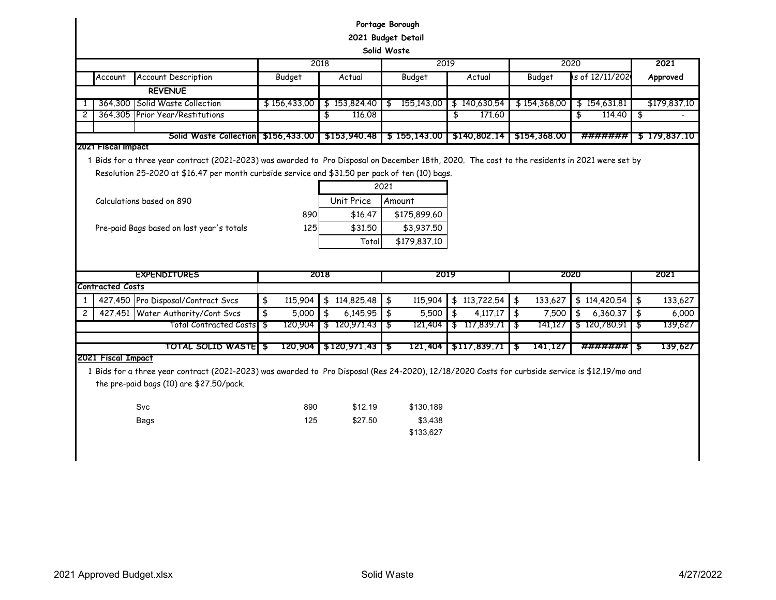|                |                         |                                                                                                                                                                                                                                                   |               |                        | Portage Borough<br>2021 Budget Detail<br>Solid Waste |                |                                    |                |               |
|----------------|-------------------------|---------------------------------------------------------------------------------------------------------------------------------------------------------------------------------------------------------------------------------------------------|---------------|------------------------|------------------------------------------------------|----------------|------------------------------------|----------------|---------------|
|                |                         |                                                                                                                                                                                                                                                   |               | 2018                   |                                                      | 2019           |                                    | 2020           | 2021          |
|                | Account                 | <b>Account Description</b>                                                                                                                                                                                                                        | <b>Budget</b> | Actual                 | Budget                                               | Actual         | Budget                             | s of 12/11/202 | Approved      |
|                |                         | <b>REVENUE</b>                                                                                                                                                                                                                                    |               |                        |                                                      |                |                                    |                |               |
| 1              |                         | 364.300 Solid Waste Collection                                                                                                                                                                                                                    | \$156,433.00  | \$153,824.40           | 155,143.00<br>\$                                     | \$140,630.54   | \$154,368.00                       | \$154,631.81   | \$179,837.10  |
| $\overline{c}$ |                         | 364.305 Prior Year/Restitutions                                                                                                                                                                                                                   |               | \$<br>116.08           |                                                      | \$<br>171.60   |                                    | \$<br>114.40   | ॱ\$           |
|                |                         |                                                                                                                                                                                                                                                   |               |                        |                                                      |                |                                    |                |               |
|                | 2021 Fiscal Impact      | Solid Waste Collection                                                                                                                                                                                                                            | \$156,433.00  | \$153,940.48           | \$155,143.00                                         | 5140,802.14    | \$154,368,00                       | #######        | \$179,837.10  |
|                |                         | 1 Bids for a three year contract (2021-2023) was awarded to Pro Disposal on December 18th, 2020. The cost to the residents in 2021 were set by<br>Resolution 25-2020 at \$16.47 per month curbside service and \$31.50 per pack of ten (10) bags. |               |                        | 2021                                                 |                |                                    |                |               |
|                |                         | Calculations based on 890                                                                                                                                                                                                                         |               | Unit Price             | Amount                                               |                |                                    |                |               |
|                |                         |                                                                                                                                                                                                                                                   | 890           | \$16.47                | \$175,899.60                                         |                |                                    |                |               |
|                |                         | Pre-paid Bags based on last year's totals                                                                                                                                                                                                         | 125           | \$31.50                | \$3,937.50                                           |                |                                    |                |               |
|                |                         |                                                                                                                                                                                                                                                   |               | Total                  | \$179,837.10                                         |                |                                    |                |               |
|                |                         |                                                                                                                                                                                                                                                   |               |                        |                                                      |                |                                    |                |               |
|                |                         | <b>EXPENDITURES</b>                                                                                                                                                                                                                               |               | 2018                   |                                                      | 2019           |                                    | 2020           | 2021          |
|                | <b>Contracted Costs</b> |                                                                                                                                                                                                                                                   |               |                        |                                                      |                |                                    |                |               |
| 1              |                         | 427.450 Pro Disposal/Contract Svcs                                                                                                                                                                                                                | \$<br>115,904 | \$114,825.48           | $\frac{4}{5}$<br>115,904                             | \$113,722.54   | $\overline{\mathbf{3}}$<br>133,627 | \$114,420.54   | \$<br>133,627 |
| $\overline{c}$ |                         | 427.451 Water Authority/Cont Svcs                                                                                                                                                                                                                 | \$<br>5,000   | \$<br>6,145.95         | $\frac{1}{2}$<br>5,500                               | \$<br>4,117.17 | 5<br>7,500                         | 6,360.37<br>\$ | \$<br>6,000   |
|                |                         | Total Contracted Costs   \$                                                                                                                                                                                                                       | 120,904       | \$120,971.43           | 121,404<br>- ક                                       | \$117,839.71   | 141,127<br>\$                      | \$120,780.91   | 35<br>139,627 |
|                |                         | TOTAL SOLID WASTELS                                                                                                                                                                                                                               |               |                        |                                                      |                |                                    |                |               |
|                | 2021 Fiscal Impact      |                                                                                                                                                                                                                                                   |               | 120,904   \$120,971.43 | 121,404                                              | \$117,839.71   | 141,127<br>ு5                      | #######        | 139,627<br>55 |
|                |                         | 1 Bids for a three year contract (2021-2023) was awarded to Pro Disposal (Res 24-2020), 12/18/2020 Costs for curbside service is \$12.19/mo and<br>the pre-paid bags (10) are \$27.50/pack.<br>Svc<br>Bags                                        | 890<br>125    | \$12.19<br>\$27.50     | \$130,189<br>\$3,438<br>\$133,627                    |                |                                    |                |               |

 $\overline{\phantom{a}}$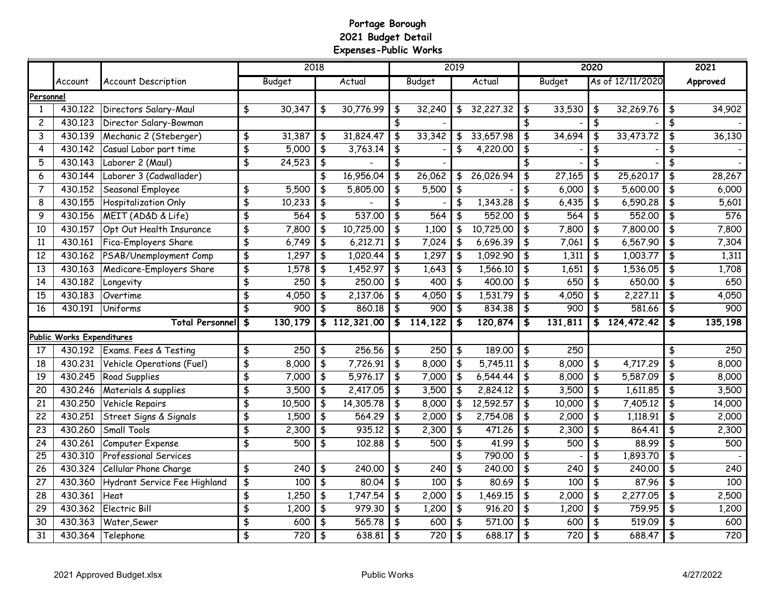### **Portage Borough 2021 Budget Detail Expenses-Public Works**

|                 |                           |                              |                         | 2018                |               |              |               |               | 2019          |           |                                      |               | 2020                                 |                  | 2021          |
|-----------------|---------------------------|------------------------------|-------------------------|---------------------|---------------|--------------|---------------|---------------|---------------|-----------|--------------------------------------|---------------|--------------------------------------|------------------|---------------|
|                 | Account                   | <b>Account Description</b>   |                         | <b>Budget</b>       |               | Actual       |               | <b>Budget</b> |               | Actual    |                                      | <b>Budget</b> |                                      | As of 12/11/2020 | Approved      |
| Personnel       |                           |                              |                         |                     |               |              |               |               |               |           |                                      |               |                                      |                  |               |
| 1               | 430.122                   | Directors Salary-Maul        | \$                      | 30,347              | \$            | 30,776.99    | $\frac{1}{2}$ | 32,240        | \$            | 32,227.32 | \$                                   | 33,530        | \$                                   | 32,269.76        | \$<br>34,902  |
| $\overline{c}$  | 430,123                   | Director Salary-Bowman       |                         |                     |               |              | \$            |               |               |           | \$                                   |               | \$                                   |                  | \$            |
| 3               | 430.139                   | Mechanic 2 (Steberger)       | \$                      | 31,387              | \$            | 31,824.47    | \$            | 33,342        | \$            | 33,657.98 | \$                                   | 34,694        | \$                                   | 33,473.72        | \$<br>36,130  |
| 4               | 430.142                   | Casual Labor part time       | \$                      | 5,000               | $\frac{1}{2}$ | 3,763.14     | \$            |               | \$            | 4,220.00  | \$                                   |               | $\frac{4}{3}$                        |                  | \$            |
| 5               | 430.143                   | Laborer 2 (Maul)             | \$                      | 24,523              | $\frac{4}{5}$ |              | \$            |               |               |           | \$                                   |               | \$                                   |                  | \$            |
| 6               | 430.144                   | Laborer 3 (Cadwallader)      |                         |                     | \$            | 16,956.04    | $\frac{1}{2}$ | 26,062        | \$            | 26,026.94 | \$                                   | 27,165        | \$                                   | 25,620.17        | \$<br>28,267  |
| $\overline{7}$  | 430.152                   | Seasonal Employee            | \$                      | 5,500               | \$            | 5,805.00     | \$            | 5,500         | \$            |           | \$                                   | 6,000         | $\frac{4}{3}$                        | 5,600.00         | \$<br>6,000   |
| 8               | 430.155                   | Hospitalization Only         | $\overline{\mathbf{3}}$ | 10,233              | $\frac{4}{5}$ |              | \$            |               | \$            | 1,343.28  | \$                                   | 6,435         | \$                                   | 6,590.28         | \$<br>5,601   |
| 9               | 430.156                   | MEIT (AD&D & Life)           | \$                      | 564                 | $\frac{4}{5}$ | 537.00       | $\frac{1}{2}$ | 564           | $\frac{4}{5}$ | 552.00    | \$                                   | 564           | \$                                   | 552,00           | \$<br>576     |
| 10              | 430.157                   | Opt Out Health Insurance     | \$                      | 7,800               | \$            | 10,725.00    | $\frac{4}{5}$ | 1,100         | \$            | 10,725.00 | \$                                   | 7,800         | \$                                   | 7,800.00         | \$<br>7,800   |
| 11              | 430.161                   | Fica-Employers Share         | \$                      | 6,749               | $\frac{4}{5}$ | 6,212.71     | $\frac{1}{2}$ | 7,024         | \$            | 6,696.39  | \$                                   | 7,061         | $\frac{4}{3}$                        | 6,567.90         | \$<br>7,304   |
| $\overline{12}$ | 430.162                   | PSAB/Unemployment Comp       | \$                      | 1,297               | $\frac{4}{5}$ | 1,020.44     | $\frac{1}{2}$ | 1,297         | \$            | 1,092.90  | $\overline{\boldsymbol{\mathsf{t}}}$ | 1,311         | $\overline{\boldsymbol{\mathsf{t}}}$ | 1,003.77         | \$<br>1,311   |
| $\overline{13}$ | 430.163                   | Medicare-Employers Share     | \$                      | 1,578               | $\frac{4}{5}$ | 1,452.97     | $\frac{1}{2}$ | 1,643         | \$            | 1,566.10  | \$                                   | 1,651         | \$                                   | 1,536.05         | \$<br>1,708   |
| 14              | 430.182                   | Longevity                    | \$                      | 250                 | \$            | 250,00       | $\frac{1}{2}$ | 400           | \$            | 400.00    | \$                                   | 650           | \$                                   | 650,00           | \$<br>650     |
| 15              | 430,183                   | Overtime                     | \$                      | 4,050               | \$            | 2,137.06     | \$            | 4,050         | \$            | 1,531.79  | \$                                   | 4,050         | \$                                   | 2,227.11         | \$<br>4,050   |
| $\overline{16}$ | 430.191                   | Uniforms                     | \$                      | 900                 | \$            | 860.18       | \$            | 900           | \$            | 834.38    | \$                                   | 900           | \$                                   | 581.66           | \$<br>900     |
|                 |                           | <b>Total Personnel</b>       | \$                      | 130,179             |               | \$112,321.00 | \$            | 114,122       | \$            | 120,874   | \$                                   | 131,811       |                                      | \$124,472.42     | \$<br>135,198 |
|                 | Public Works Expenditures |                              |                         |                     |               |              |               |               |               |           |                                      |               |                                      |                  |               |
| 17              | 430.192                   | Exams. Fees & Testing        | \$                      | 250                 | \$            | 256.56       | \$            | 250           | \$            | 189.00    | \$                                   | 250           |                                      |                  | \$<br>250     |
| 18              | 430.231                   | Vehicle Operations (Fuel)    | \$                      | $\overline{8}$ ,000 | \$            | 7,726.91     | $\frac{1}{2}$ | 8,000         | \$            | 5,745.11  | \$                                   | 8,000         | \$                                   | 4,717.29         | \$<br>8,000   |
| 19              | 430.245                   | Road Supplies                | \$                      | 7,000               | \$            | 5,976.17     | $\frac{1}{2}$ | 7,000         | \$            | 6,544.44  | $\frac{4}{5}$                        | 8,000         | \$                                   | 5,587.09         | \$<br>8,000   |
| 20              | 430.246                   | Materials & supplies         | \$                      | 3,500               | \$            | 2,417.05     | \$            | 3,500         | \$            | 2,824.12  | \$                                   | 3,500         | \$                                   | 1,611.85         | \$<br>3,500   |
| 21              | 430.250                   | Vehicle Repairs              | \$                      | 10,500              | \$            | 14,305.78    | \$            | 8,000         | \$            | 12,592.57 | \$                                   | 10,000        | \$                                   | 7,405.12         | \$<br>14,000  |
| 22              | 430.251                   | Street Signs & Signals       | \$                      | 1,500               | \$            | 564.29       | \$            | 2,000         | \$            | 2,754.08  | \$                                   | 2,000         | \$                                   | 1,118.91         | \$<br>2,000   |
| 23              | 430.260                   | Small Tools                  | \$                      | 2,300               | \$            | 935.12       | \$            | 2,300         | \$            | 471.26    | \$                                   | 2,300         | \$                                   | 864.41           | \$<br>2,300   |
| $\overline{24}$ | 430.261                   | Computer Expense             | \$                      | 500                 | \$            | 102.88       | \$            | 500           | \$            | 41.99     | \$                                   | 500           | \$                                   | 88.99            | \$<br>500     |
| 25              | 430.310                   | <b>Professional Services</b> |                         |                     |               |              |               |               | \$            | 790.00    | \$                                   |               | \$                                   | 1,893.70         | \$            |
| 26              | 430.324                   | Cellular Phone Charge        | \$                      | $\overline{240}$    | \$            | 240.00       | \$            | 240           | \$            | 240.00    | \$                                   | 240           | \$                                   | 240.00           | \$<br>240     |
| 27              | 430.360                   | Hydrant Service Fee Highland | \$                      | 100                 | \$            | 80.04        | \$            | 100           | \$            | 80.69     | \$                                   | 100           | \$                                   | 87.96            | \$<br>100     |
| 28              | 430.361                   | Heat                         | \$                      | 1,250               | \$            | 1,747.54     | \$            | 2,000         | \$            | 1,469.15  | \$                                   | 2,000         | \$                                   | 2,277.05         | \$<br>2,500   |
| $\overline{29}$ | 430.362                   | Electric Bill                | \$                      | 1,200               | \$            | 979.30       | \$            | 1,200         | \$            | 916.20    | $\frac{4}{5}$                        | 1,200         | \$                                   | 759.95           | \$<br>1,200   |
| 30              | 430.363                   | Water, Sewer                 | \$                      | 600                 | \$            | 565.78       | \$            | 600           | \$            | 571.00    | \$                                   | 600           | \$                                   | 519.09           | \$<br>600     |
| 31              | 430.364                   | Telephone                    | \$                      | 720                 | \$            | 638.81       | \$            | 720           | \$            | 688.17    | \$                                   | 720           | \$                                   | 688.47           | \$<br>720     |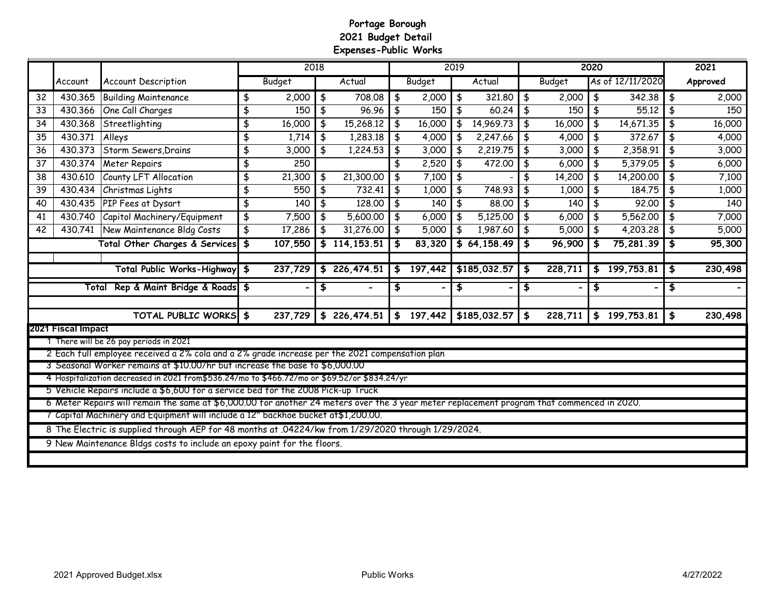### **Portage Borough 2021 Budget Detail Expenses-Public Works**

|    |                    |                                                                                                                                                                                                                                |                                | 2018          |                 |               |               | 2019          |                       |               |               | 2020 |                  |               | 2021     |
|----|--------------------|--------------------------------------------------------------------------------------------------------------------------------------------------------------------------------------------------------------------------------|--------------------------------|---------------|-----------------|---------------|---------------|---------------|-----------------------|---------------|---------------|------|------------------|---------------|----------|
|    | Account            | <b>Account Description</b>                                                                                                                                                                                                     |                                | <b>Budget</b> | Actual          |               | <b>Budget</b> |               | Actual                |               | <b>Budget</b> |      | As of 12/11/2020 |               | Approved |
| 32 | 430.365            | <b>Building Maintenance</b>                                                                                                                                                                                                    | \$                             | 2,000         | \$<br>708.08    | \$            | 2,000         | \$            | 321,80                | \$            | 2,000         | \$   | 342.38           | ∣\$           | 2,000    |
| 33 | 430.366            | One Call Charges                                                                                                                                                                                                               | \$                             | 150           | \$<br>96.96     | $\frac{1}{2}$ | 150           | $\frac{1}{2}$ | 60.24                 | \$            | 150           | \$   | 55,12            | \$            | 150      |
| 34 | 430.368            | Streetlighting                                                                                                                                                                                                                 | \$                             | 16,000        | \$<br>15,268.12 | $\frac{1}{2}$ | 16,000        | $\frac{1}{2}$ | 14,969.73             | \$            | 16,000        | \$   | 14,671.35        | \$            | 16,000   |
| 35 | 430.371            | Alleys                                                                                                                                                                                                                         | $\overline{\boldsymbol{\phi}}$ | 1,714         | \$<br>1,283.18  | $\frac{1}{2}$ | 4,000         | \$            | 2,247.66              | $\frac{4}{5}$ | 4,000         | \$   | 372.67           | \$            | 4,000    |
| 36 | 430.373            | Storm Sewers, Drains                                                                                                                                                                                                           | $\frac{4}{3}$                  | 3,000         | \$<br>1,224.53  | $\frac{1}{2}$ | 3,000         | $\frac{4}{3}$ | 2,219.75              | $\frac{1}{2}$ | 3,000         | \$   | 2,358.91         | $\frac{4}{5}$ | 3,000    |
| 37 | 430.374            | <b>Meter Repairs</b>                                                                                                                                                                                                           | $\frac{4}{3}$                  | 250           |                 | \$            | 2,520         | \$            | 472,00                | \$            | 6,000         | \$   | 5,379.05         | \$            | 6,000    |
| 38 | 430.610            | County LFT Allocation                                                                                                                                                                                                          | \$                             | 21,300        | \$<br>21,300.00 | $\frac{4}{5}$ | 7,100         | \$            |                       | \$            | 14,200        | \$   | 14,200.00        | \$            | 7,100    |
| 39 | 430.434            | Christmas Lights                                                                                                                                                                                                               | $\frac{4}{3}$                  | 550           | \$<br>732.41    | $\frac{1}{2}$ | 1,000         | \$            | 748.93                | \$            | 1,000         | \$   | 184.75           | \$            | 1,000    |
| 40 | 430.435            | PIP Fees at Dysart                                                                                                                                                                                                             | \$                             | 140           | \$<br>128,00    | \$            | 140           | \$            | 88.00                 | \$            | 140           | \$   | 92,00            | \$            | 140      |
| 41 | 430.740            | Capitol Machinery/Equipment                                                                                                                                                                                                    | $\frac{4}{3}$                  | 7,500         | \$<br>5,600.00  | $\frac{1}{2}$ | 6,000         | \$            | $\overline{5,125.00}$ | \$            | 6,000         | \$   | 5,562.00         | \$            | 7,000    |
| 42 | 430.741            | New Maintenance Bldg Costs                                                                                                                                                                                                     | \$                             | 17,286        | \$<br>31,276.00 | $\frac{1}{2}$ | 5,000         | $\frac{4}{5}$ | 1,987.60              | \$            | 5,000         | \$   | 4,203.28         | $\frac{1}{2}$ | 5,000    |
|    |                    | Total Other Charges & Services                                                                                                                                                                                                 | \$                             | 107,550       | \$114,153.51    | \$            | 83,320        |               | \$64,158.49           | \$            | 96,900        | \$   | $75,281.39$ \$   |               | 95,300   |
|    |                    | <b>Total Public Works-Highway</b>                                                                                                                                                                                              |                                |               |                 |               |               |               | \$185,032.57          |               |               |      | \$199,753.81     |               |          |
|    |                    |                                                                                                                                                                                                                                | \$                             | 237,729       | \$226,474.51    | \$            | 197,442       |               |                       | \$            | 228,711       |      |                  | \$            | 230,498  |
|    |                    | Total Rep & Maint Bridge & Roads \$                                                                                                                                                                                            |                                |               | \$              | \$            |               | \$            |                       | \$            |               | \$   |                  | \$            |          |
|    |                    | TOTAL PUBLIC WORKS \$                                                                                                                                                                                                          |                                | 237,729       | \$226,474.51    |               | \$197,442     |               | \$185,032.57          | \$            | 228,711       |      | \$199,753.81     | $\frac{4}{5}$ | 230,498  |
|    | 2021 Fiscal Impact |                                                                                                                                                                                                                                |                                |               |                 |               |               |               |                       |               |               |      |                  |               |          |
|    |                    | 1 There will be 26 pay periods in 2021                                                                                                                                                                                         |                                |               |                 |               |               |               |                       |               |               |      |                  |               |          |
|    |                    | 2 Each full employee received a 2% cola and a 2% grade increase per the 2021 compensation plan                                                                                                                                 |                                |               |                 |               |               |               |                       |               |               |      |                  |               |          |
|    |                    | 3 Seasonal Worker remains at \$10.00/hr but increase the base to \$6,000.00                                                                                                                                                    |                                |               |                 |               |               |               |                       |               |               |      |                  |               |          |
|    |                    | 4 Hospitalization decreased in 2021 from \$536.24/mo to \$466.72/mo or \$69.52/or \$834.24/yr                                                                                                                                  |                                |               |                 |               |               |               |                       |               |               |      |                  |               |          |
|    |                    | 5 Vehicle Repairs include a \$6,600 for a service bed for the 2008 Pick-up Truck<br>6 Meter Repairs will remain the same at \$6,000.00 for another 24 meters over the 3 year meter replacement program that commenced in 2020. |                                |               |                 |               |               |               |                       |               |               |      |                  |               |          |
|    |                    | 7 Capital Machinery and Equipment will include a 12" backhoe bucket at \$1,200.00.                                                                                                                                             |                                |               |                 |               |               |               |                       |               |               |      |                  |               |          |
|    |                    | 8 The Electric is supplied through AEP for 48 months at .04224/kw from 1/29/2020 through 1/29/2024.                                                                                                                            |                                |               |                 |               |               |               |                       |               |               |      |                  |               |          |
|    |                    | 9 New Maintenance Bldgs costs to include an epoxy paint for the floors.                                                                                                                                                        |                                |               |                 |               |               |               |                       |               |               |      |                  |               |          |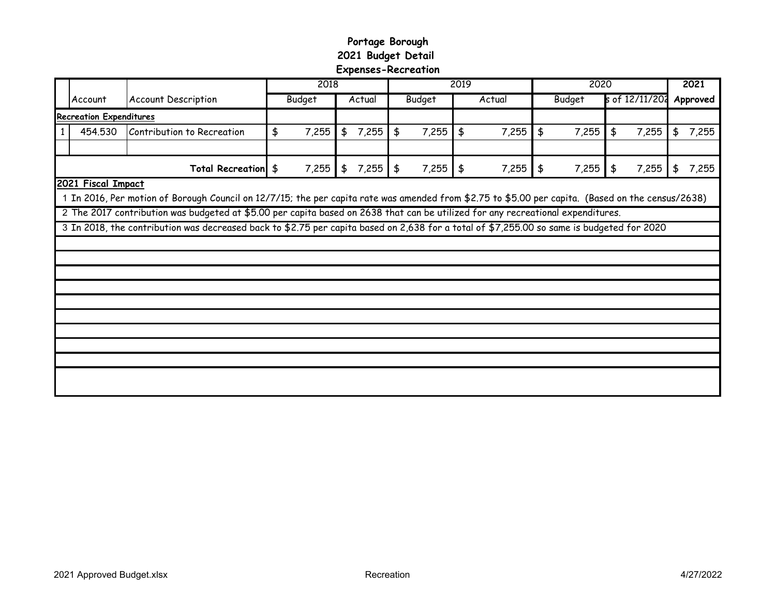# **Portage Borough 2021 Budget Detail Expenses-Recreation**

|                                |                    |                                                                                                                                                   | 2018 |               |               |        | 2019          |               |     | 2020   |               |               |    |                | 2021 |          |  |
|--------------------------------|--------------------|---------------------------------------------------------------------------------------------------------------------------------------------------|------|---------------|---------------|--------|---------------|---------------|-----|--------|---------------|---------------|----|----------------|------|----------|--|
|                                | Account            | <b>Account Description</b>                                                                                                                        |      | <b>Budget</b> |               | Actual |               | <b>Budget</b> |     | Actual |               | <b>Budget</b> |    | s of 12/11/202 |      | Approved |  |
| <b>Recreation Expenditures</b> |                    |                                                                                                                                                   |      |               |               |        |               |               |     |        |               |               |    |                |      |          |  |
|                                | 454.530            | Contribution to Recreation                                                                                                                        | \$   | 7,255         | $\frac{4}{5}$ | 7,255  | $\frac{4}{5}$ | 7,255         | \$  | 7,255  | $\frac{4}{5}$ | 7,255         | \$ | 7,255          | \$   | 7,255    |  |
|                                |                    |                                                                                                                                                   |      |               |               |        |               |               |     |        |               |               |    |                |      |          |  |
| Total Recreation \$            |                    |                                                                                                                                                   |      | 7,255         | \$            | 7,255  | $\frac{1}{2}$ | 7,255         | ∣\$ | 7,255  | $\frac{1}{2}$ | 7,255         | \$ | 7,255          | \$   | 7,255    |  |
|                                | 2021 Fiscal Impact |                                                                                                                                                   |      |               |               |        |               |               |     |        |               |               |    |                |      |          |  |
|                                |                    | 1 In 2016, Per motion of Borough Council on 12/7/15; the per capita rate was amended from \$2.75 to \$5.00 per capita. (Based on the census/2638) |      |               |               |        |               |               |     |        |               |               |    |                |      |          |  |
|                                |                    | 2 The 2017 contribution was budgeted at \$5.00 per capita based on 2638 that can be utilized for any recreational expenditures.                   |      |               |               |        |               |               |     |        |               |               |    |                |      |          |  |
|                                |                    | 3 In 2018, the contribution was decreased back to \$2.75 per capita based on 2,638 for a total of \$7,255.00 so same is budgeted for 2020         |      |               |               |        |               |               |     |        |               |               |    |                |      |          |  |
|                                |                    |                                                                                                                                                   |      |               |               |        |               |               |     |        |               |               |    |                |      |          |  |
|                                |                    |                                                                                                                                                   |      |               |               |        |               |               |     |        |               |               |    |                |      |          |  |
|                                |                    |                                                                                                                                                   |      |               |               |        |               |               |     |        |               |               |    |                |      |          |  |
|                                |                    |                                                                                                                                                   |      |               |               |        |               |               |     |        |               |               |    |                |      |          |  |
|                                |                    |                                                                                                                                                   |      |               |               |        |               |               |     |        |               |               |    |                |      |          |  |
|                                |                    |                                                                                                                                                   |      |               |               |        |               |               |     |        |               |               |    |                |      |          |  |
|                                |                    |                                                                                                                                                   |      |               |               |        |               |               |     |        |               |               |    |                |      |          |  |
|                                |                    |                                                                                                                                                   |      |               |               |        |               |               |     |        |               |               |    |                |      |          |  |
|                                |                    |                                                                                                                                                   |      |               |               |        |               |               |     |        |               |               |    |                |      |          |  |
|                                |                    |                                                                                                                                                   |      |               |               |        |               |               |     |        |               |               |    |                |      |          |  |
|                                |                    |                                                                                                                                                   |      |               |               |        |               |               |     |        |               |               |    |                |      |          |  |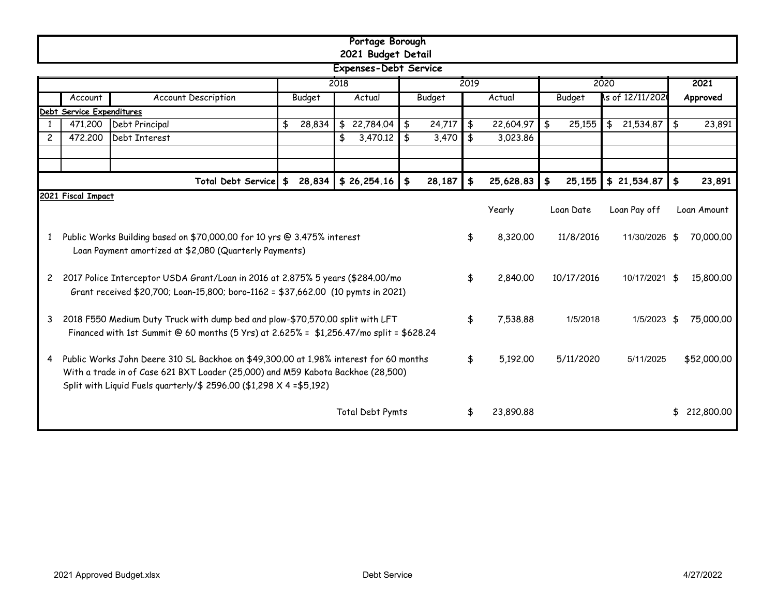|                                                                                                                                                                                                                                                       | Portage Borough<br>2021 Budget Detail |                                                                                                         |              |                 |                      |        |               |           |                         |                 |    |             |  |
|-------------------------------------------------------------------------------------------------------------------------------------------------------------------------------------------------------------------------------------------------------|---------------------------------------|---------------------------------------------------------------------------------------------------------|--------------|-----------------|----------------------|--------|---------------|-----------|-------------------------|-----------------|----|-------------|--|
|                                                                                                                                                                                                                                                       | <b>Expenses-Debt Service</b>          |                                                                                                         |              |                 |                      |        |               |           |                         |                 |    |             |  |
|                                                                                                                                                                                                                                                       |                                       |                                                                                                         |              | 2018            |                      |        | 2019          |           |                         | 2020            |    | 2021        |  |
|                                                                                                                                                                                                                                                       | Account                               | As of 12/11/2021<br><b>Account Description</b><br>Actual<br><b>Budget</b><br>Budget<br>Actual<br>Budget |              | Approved        |                      |        |               |           |                         |                 |    |             |  |
|                                                                                                                                                                                                                                                       | Debt Service Expenditures             |                                                                                                         |              |                 |                      |        |               |           |                         |                 |    |             |  |
| -1                                                                                                                                                                                                                                                    | 471,200                               | Debt Principal                                                                                          | \$<br>28,834 | 22,784.04<br>\$ | \$                   | 24,717 | $\frac{4}{5}$ | 22,604.97 | \$<br>25,155            | \$<br>21,534.87 | \$ | 23,891      |  |
| $\overline{c}$                                                                                                                                                                                                                                        | 472,200                               | Debt Interest                                                                                           |              | 3,470.12<br>\$  | $\overline{\bullet}$ | 3,470  | $\frac{1}{2}$ | 3,023.86  |                         |                 |    |             |  |
|                                                                                                                                                                                                                                                       |                                       |                                                                                                         |              |                 |                      |        |               |           |                         |                 |    |             |  |
|                                                                                                                                                                                                                                                       |                                       | Total Debt Service \$ 28,834                                                                            |              | $$26,254.16$ \$ |                      | 28,187 | $\clubsuit$   | 25,628.83 | 25,155<br>$\frac{4}{5}$ | $$21,534.87$ \$ |    | 23,891      |  |
|                                                                                                                                                                                                                                                       | 2021 Fiscal Impact                    |                                                                                                         |              |                 |                      |        |               |           |                         |                 |    |             |  |
|                                                                                                                                                                                                                                                       |                                       |                                                                                                         |              |                 |                      |        |               | Yearly    | Loan Date               | Loan Pay off    |    | Loan Amount |  |
| Public Works Building based on \$70,000.00 for 10 yrs @ 3.475% interest<br>1<br>Loan Payment amortized at \$2,080 (Quarterly Payments)                                                                                                                |                                       |                                                                                                         |              |                 |                      |        | \$            | 8,320.00  | 11/8/2016               | 11/30/2026      | \$ | 70,000.00   |  |
| 2017 Police Interceptor USDA Grant/Loan in 2016 at 2.875% 5 years (\$284.00/mo<br>$\mathsf{2}$<br>Grant received \$20,700; Loan-15,800; boro-1162 = \$37,662.00 (10 pymts in 2021)                                                                    |                                       |                                                                                                         |              |                 |                      |        | \$            | 2,840.00  | 10/17/2016              | 10/17/2021      | \$ | 15,800.00   |  |
| 2018 F550 Medium Duty Truck with dump bed and plow-\$70,570.00 split with LFT<br>3<br>Financed with 1st Summit @ 60 months (5 Yrs) at 2.625% = \$1,256.47/mo split = \$628.24                                                                         |                                       |                                                                                                         |              |                 |                      |        | \$            | 7,538.88  | 1/5/2018                | 1/5/2023        | \$ | 75,000.00   |  |
| Public Works John Deere 310 SL Backhoe on \$49,300.00 at 1.98% interest for 60 months<br>4<br>With a trade in of Case 621 BXT Loader (25,000) and M59 Kabota Backhoe (28,500)<br>Split with Liquid Fuels quarterly/\$ 2596.00 (\$1,298 X 4 = \$5,192) |                                       |                                                                                                         |              |                 |                      |        |               | 5,192.00  | 5/11/2020               | 5/11/2025       |    | \$52,000.00 |  |
|                                                                                                                                                                                                                                                       | Total Debt Pymts                      |                                                                                                         |              |                 |                      |        |               | 23,890.88 |                         |                 |    | 212,800.00  |  |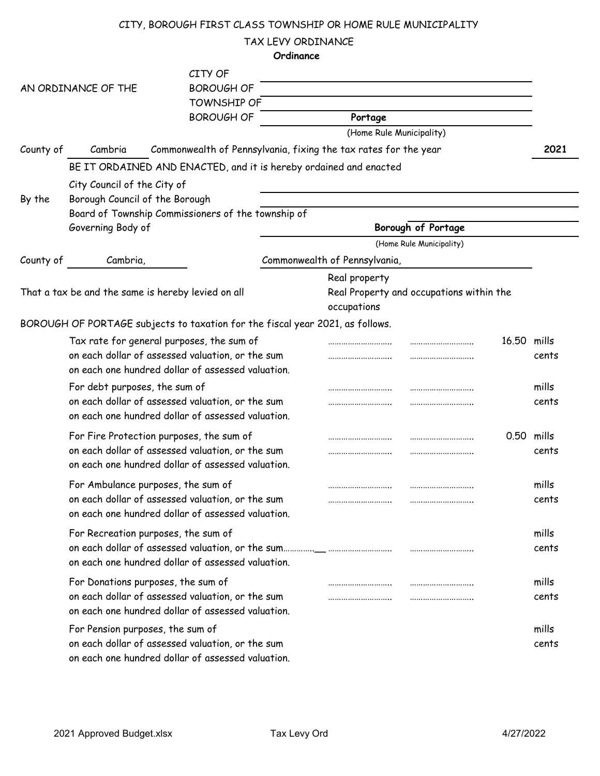### CITY, BOROUGH FIRST CLASS TOWNSHIP OR HOME RULE MUNICIPALITY

TAX LEVY ORDINANCE

|                                                                                                |                                                               |                                                                                                                                                    | Ordinance |                                     |                                                |             |                     |
|------------------------------------------------------------------------------------------------|---------------------------------------------------------------|----------------------------------------------------------------------------------------------------------------------------------------------------|-----------|-------------------------------------|------------------------------------------------|-------------|---------------------|
| CITY OF<br><b>BOROUGH OF</b><br>AN ORDINANCE OF THE<br><b>TOWNSHIP OF</b><br><b>BOROUGH OF</b> |                                                               |                                                                                                                                                    |           | Portage<br>(Home Rule Municipality) |                                                |             |                     |
| County of                                                                                      | Cambria                                                       | Commonwealth of Pennsylvania, fixing the tax rates for the year                                                                                    |           |                                     |                                                |             | 2021                |
| By the                                                                                         | City Council of the City of<br>Borough Council of the Borough | BE IT ORDAINED AND ENACTED, and it is hereby ordained and enacted                                                                                  |           |                                     |                                                |             |                     |
|                                                                                                | Governing Body of                                             | Board of Township Commissioners of the township of                                                                                                 |           |                                     | Borough of Portage<br>(Home Rule Municipality) |             |                     |
| County of                                                                                      | Cambria,                                                      |                                                                                                                                                    |           | Commonwealth of Pennsylvania,       |                                                |             |                     |
|                                                                                                |                                                               | That a tax be and the same is hereby levied on all                                                                                                 |           | Real property<br>occupations        | Real Property and occupations within the       |             |                     |
|                                                                                                |                                                               | BOROUGH OF PORTAGE subjects to taxation for the fiscal year 2021, as follows.                                                                      |           |                                     |                                                |             |                     |
|                                                                                                |                                                               | Tax rate for general purposes, the sum of<br>on each dollar of assessed valuation, or the sum<br>on each one hundred dollar of assessed valuation. |           |                                     |                                                | 16.50 mills | cents               |
|                                                                                                | For debt purposes, the sum of                                 | on each dollar of assessed valuation, or the sum<br>on each one hundred dollar of assessed valuation.                                              |           |                                     |                                                |             | mills<br>cents      |
|                                                                                                |                                                               | For Fire Protection purposes, the sum of<br>on each dollar of assessed valuation, or the sum<br>on each one hundred dollar of assessed valuation.  |           |                                     |                                                |             | 0.50 mills<br>cents |
|                                                                                                |                                                               | For Ambulance purposes, the sum of<br>on each dollar of assessed valuation, or the sum<br>on each one hundred dollar of assessed valuation.        |           |                                     |                                                |             | mills<br>cents      |
|                                                                                                |                                                               | For Recreation purposes, the sum of<br>on each one hundred dollar of assessed valuation.                                                           |           |                                     |                                                |             | mills<br>cents      |
|                                                                                                |                                                               | For Donations purposes, the sum of<br>on each dollar of assessed valuation, or the sum<br>on each one hundred dollar of assessed valuation.        |           |                                     |                                                |             | mills<br>cents      |
|                                                                                                | For Pension purposes, the sum of                              | on each dollar of assessed valuation, or the sum<br>on each one hundred dollar of assessed valuation.                                              |           |                                     |                                                |             | mills<br>cents      |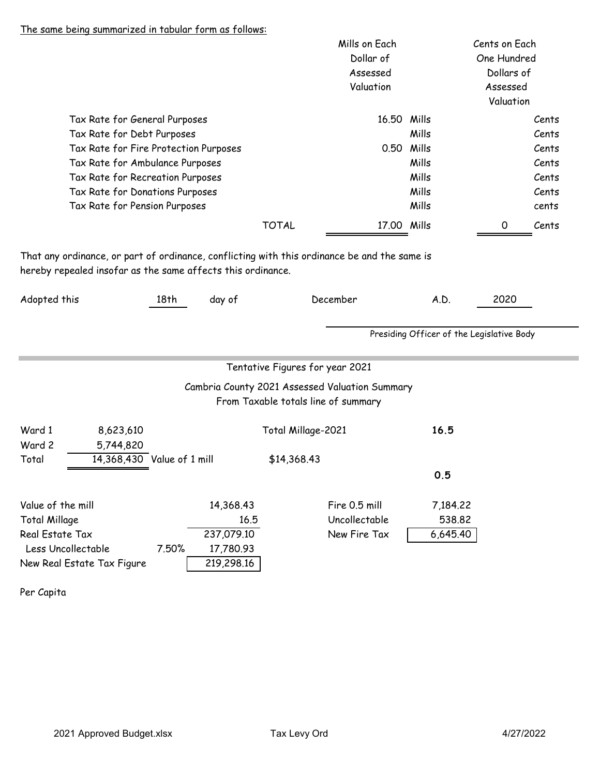#### The same being summarized in tabular form as follows:

|                                                                                             |                                                                                                                                                                             |                                               | Mills on Each<br>Dollar of<br>Assessed<br>Valuation                                                                      |                                                      | Cents on Each<br>One Hundred<br>Dollars of<br>Assessed<br>Valuation |
|---------------------------------------------------------------------------------------------|-----------------------------------------------------------------------------------------------------------------------------------------------------------------------------|-----------------------------------------------|--------------------------------------------------------------------------------------------------------------------------|------------------------------------------------------|---------------------------------------------------------------------|
|                                                                                             | Tax Rate for General Purposes<br>Tax Rate for Debt Purposes<br>Tax Rate for Fire Protection Purposes<br>Tax Rate for Ambulance Purposes<br>Tax Rate for Recreation Purposes |                                               |                                                                                                                          | 16.50 Mills<br>Mills<br>0.50 Mills<br>Mills<br>Mills | Cents<br>Cents<br>Cents<br>Cents<br>Cents                           |
|                                                                                             | Tax Rate for Donations Purposes<br>Tax Rate for Pension Purposes                                                                                                            | <b>TOTAL</b>                                  |                                                                                                                          | Mills<br>Mills<br>17.00 Mills                        | Cents<br>cents<br>0<br>Cents                                        |
| hereby repealed insofar as the same affects this ordinance.<br>Adopted this                 | 18 <sup>th</sup>                                                                                                                                                            | day of                                        | December                                                                                                                 | A.D.<br>Presiding Officer of the Legislative Body    | 2020                                                                |
|                                                                                             |                                                                                                                                                                             |                                               | Tentative Figures for year 2021<br>Cambria County 2021 Assessed Valuation Summary<br>From Taxable totals line of summary |                                                      |                                                                     |
| Ward 1<br>8,623,610<br>Ward 2<br>5,744,820<br>Total                                         | 14,368,430 Value of 1 mill                                                                                                                                                  |                                               | Total Millage-2021<br>\$14,368.43                                                                                        | 16.5                                                 |                                                                     |
| Value of the mill                                                                           |                                                                                                                                                                             | 14,368.43                                     | Fire 0.5 mill                                                                                                            | 0.5<br>7,184.22                                      |                                                                     |
| <b>Total Millage</b><br>Real Estate Tax<br>Less Uncollectable<br>New Real Estate Tax Figure | 7.50%                                                                                                                                                                       | 16.5<br>237,079.10<br>17,780.93<br>219,298.16 | Uncollectable<br>New Fire Tax                                                                                            | 538.82<br>6,645.40                                   |                                                                     |

Per Capita